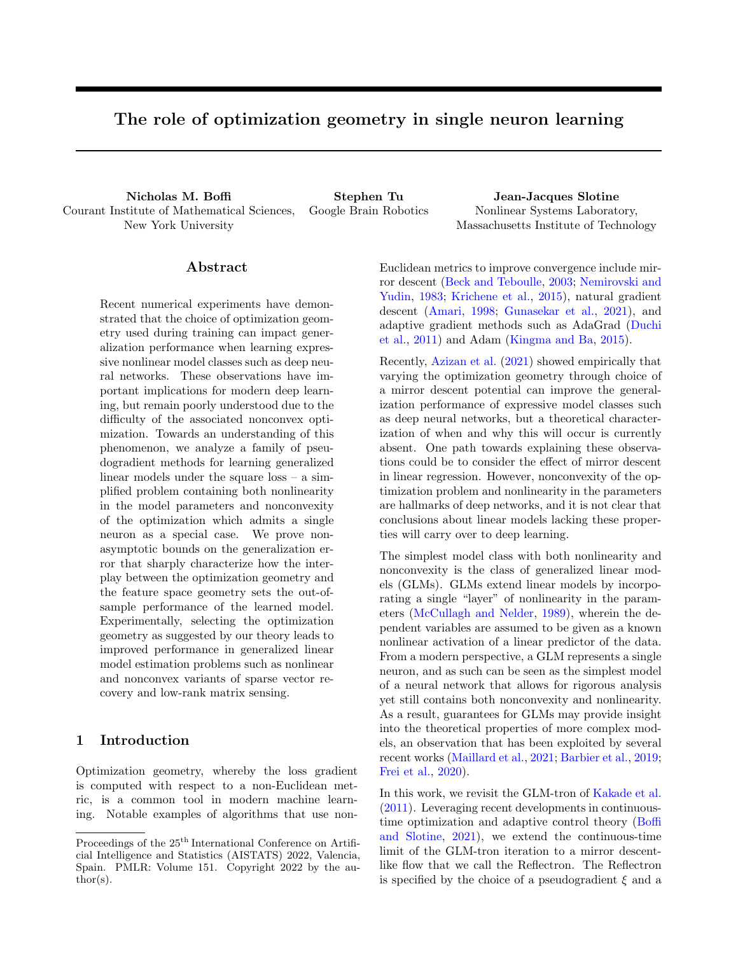# The role of optimization geometry in single neuron learning

Nicholas M. Boffi Stephen Tu Jean-Jacques Slotine Courant Institute of Mathematical Sciences, New York University

Google Brain Robotics Nonlinear Systems Laboratory, Massachusetts Institute of Technology

# Abstract

Recent numerical experiments have demonstrated that the choice of optimization geometry used during training can impact generalization performance when learning expressive nonlinear model classes such as deep neural networks. These observations have important implications for modern deep learning, but remain poorly understood due to the difficulty of the associated nonconvex optimization. Towards an understanding of this phenomenon, we analyze a family of pseudogradient methods for learning generalized linear models under the square loss – a simplified problem containing both nonlinearity in the model parameters and nonconvexity of the optimization which admits a single neuron as a special case. We prove nonasymptotic bounds on the generalization error that sharply characterize how the interplay between the optimization geometry and the feature space geometry sets the out-ofsample performance of the learned model. Experimentally, selecting the optimization geometry as suggested by our theory leads to improved performance in generalized linear model estimation problems such as nonlinear and nonconvex variants of sparse vector recovery and low-rank matrix sensing.

# 1 Introduction

Optimization geometry, whereby the loss gradient is computed with respect to a non-Euclidean metric, is a common tool in modern machine learning. Notable examples of algorithms that use nonEuclidean metrics to improve convergence include mirror descent (Beck and Teboulle, 2003; Nemirovski and Yudin, 1983; Krichene et al., 2015), natural gradient descent (Amari, 1998; Gunasekar et al., 2021), and adaptive gradient methods such as AdaGrad (Duchi et al., 2011) and Adam (Kingma and Ba, 2015).

Recently, Azizan et al. (2021) showed empirically that varying the optimization geometry through choice of a mirror descent potential can improve the generalization performance of expressive model classes such as deep neural networks, but a theoretical characterization of when and why this will occur is currently absent. One path towards explaining these observations could be to consider the effect of mirror descent in linear regression. However, nonconvexity of the optimization problem and nonlinearity in the parameters are hallmarks of deep networks, and it is not clear that conclusions about linear models lacking these properties will carry over to deep learning.

The simplest model class with both nonlinearity and nonconvexity is the class of generalized linear models (GLMs). GLMs extend linear models by incorporating a single "layer" of nonlinearity in the parameters (McCullagh and Nelder, 1989), wherein the dependent variables are assumed to be given as a known nonlinear activation of a linear predictor of the data. From a modern perspective, a GLM represents a single neuron, and as such can be seen as the simplest model of a neural network that allows for rigorous analysis yet still contains both nonconvexity and nonlinearity. As a result, guarantees for GLMs may provide insight into the theoretical properties of more complex models, an observation that has been exploited by several recent works (Maillard et al., 2021; Barbier et al., 2019; Frei et al., 2020).

In this work, we revisit the GLM-tron of Kakade et al. (2011). Leveraging recent developments in continuoustime optimization and adaptive control theory (Boffi and Slotine, 2021), we extend the continuous-time limit of the GLM-tron iteration to a mirror descentlike flow that we call the Reflectron. The Reflectron is specified by the choice of a pseudogradient  $\xi$  and a

Proceedings of the  $25^{\text{th}}$  International Conference on Artificial Intelligence and Statistics (AISTATS) 2022, Valencia, Spain. PMLR: Volume 151. Copyright 2022 by the au- $\text{thor}(s)$ .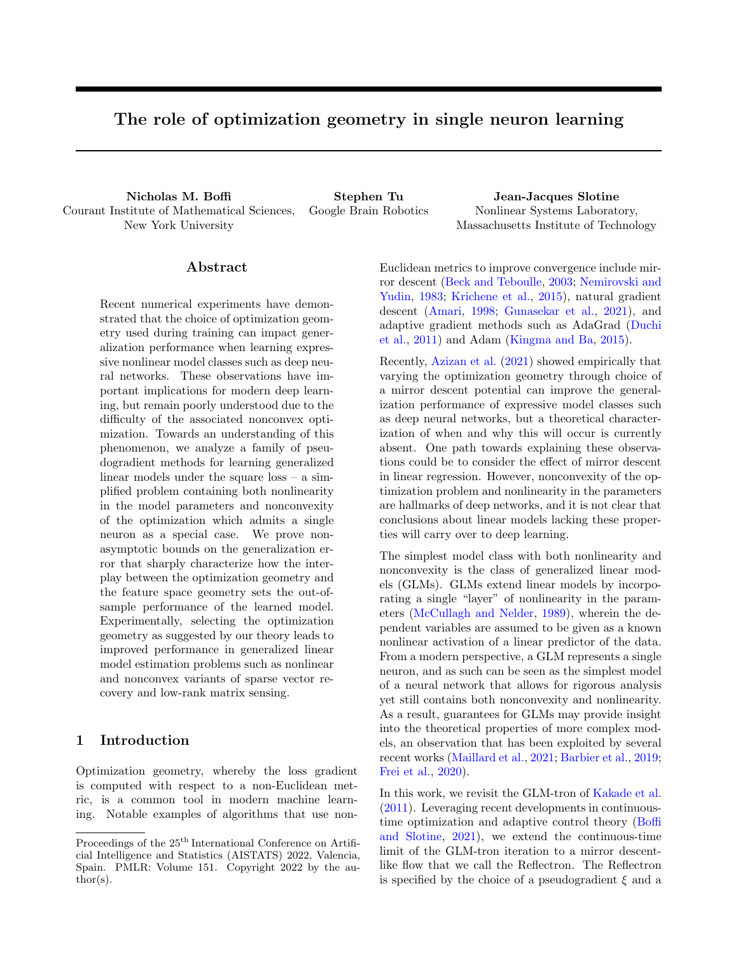strongly convex potential function  $\psi$ ; these two ingredients together define a search direction and a search geometry. As particular cases, the Reflectron recovers both the GLM-tron and gradient descent.

Outline of results We first prove non-asymptotic generalization error bounds for mirror descent applied to a GLM in the full-batch setting. Our results highlight how the choice of  $\psi$  can improve the statistical performance of the model if selected in a way that respects the underlying geometric structure of the feature space. In the realizable setting, we further characterize the learned parameters as minimizing the Bregman divergence under  $\psi$  between the initialization and the interpolating manifold.

We then discretize the continuous dynamics via the forward-Euler method to obtain an implementable algorithm, and we show that the corresponding iteration enjoys guarantees that match those of the continuous-time flow. We further consider a stochastic gradient-like setting for learning GLMs in the realizable and bounded noise settings, and prove  $O(1/t)$  and  $O(1^{-\tau})$  bounds for the generalization error, respectively. We conclude with experiments highlighting the ability of our theoretical results to capture the importance of optimization geometry in practice. By choosing the mirror descent potential as suggested by our analysis in nonlinear and nonconvex sparse vector and low-rank matrix recovery problems – both of which amount to GLM estimation under the square loss – we demonstrate improved generalization performance of the learned model.

#### 1.1 Related work and significance

Applications of the GLM-Tron The GLM-tron of Kakade et al. (2011) was the first known computationally and statistically efficient algorithm for learning both GLMs and Single Index Models (SIMs). A recent extension known as the BregmanTron (Nock and Menon, 2020) obtains improved guarantees for the SIM problem by applying Bregman divergences to directly learn the loss function; here, we instead focus on the GLM-tron as a primitive that allows us to analyze the role of optimization geometry in learning nonlinear models. Frei et al. (2020) use similar proof techniques to Kakade et al. (2011) to analyze gradient descent on the square loss for learning a single neuron. Our work extends their results to the mirror descent and pseudogradient settings, and characterizes the role of optimization geometry in generalization. Foster et al. (2020) utilize the GLM-tron for system identification in a particular nonlinear discretetime dynamics model, and Goel and Klivans (2019) use a kernelized GLM-tron to provably learn two-hiddenlayer neural networks. Similar update laws have independently been developed in the adaptive control literature (Tyukin et al., 2007), along with mirror descent and momentum variants (Boffi and Slotine, 2021).

Implicit bias and generalization Modern machine learning frequently takes place in a highdimensional regime with many more parameters than examples. It is now well-known that deep networks will interpolate noisy data, yet exhibit low generalization error *despite interpolation* when trained on meaningful data (Zhang et al., 2017). Defying classical statistical wisdom, an explanation for this apparent paradox has been given in the implicit bias (Soudry et al., 2018) of optimization algorithms and the double descent curve (Belkin et al., 2019; Bartlett et al., 2020; Muthukumar et al., 2019; Hastie et al., 2019). The notion of implicit bias captures the proclivity of a method to converge to a particular kind of interpolating solution – such as minimum norm – when many options exist.

Implicit bias has been categorized for gradientbased algorithms on separable classification problems (Soudry et al., 2018; Nacson et al., 2018), regression problems (Gunasekar et al., 2018b), and multilayer models (Gunasekar et al., 2018a; Woodworth et al., 2020; Gunasekar et al., 2017). Approximate results are also available for the implicit bias of gradient-based algorithms when used to train deep networks (Azizan et al., 2019). Moreover, it was shown empirically (Azizan et al., 2021) that the choice of mirror descent potential affects the generalization error of deep networks, and a qualitative explanation was provided in terms of changing the specific form of implicit bias. Our focus on the GLM setting allows us to distinguish between the generalization performance of models trained with different potentials, which provides a quantitative and geometric explanation. While we focus on the square loss, a number of recent works have investigated the possibility of using the square loss for training deep networks for classification (Demirkaya et al., 2020; Hui and Belkin, 2021; Han et al., 2022).

## 2 Problem setting and background

Our problem setting follows the original work of Kakade et al. (2011). Let  $f_{\mathbf{x}_i, y_i} g_{i-1}^n$  denote an i.i.d. dataset sampled from a distribution D supported on  $X$  $[0, 1], X$ <sup>d</sup>, where  $E[y_i|\mathbf{x}_i] = u(h, \mathbf{x}_i)$ for  $2 \text{ R}^d$  a fixed, unknown vector of parameters.  $u : \mathbb{R}$  / [0, 1] is assumed to be a known, nondecreasing, and L-Lipschitz activation function. Our goal is to approximate  $E[y_j/x_j]$  as measured by the expected square loss. To this end, for a hypothesis  $h: \mathbb{R}^d$  ! R, we define the generalization error  $err(h)$  and the excess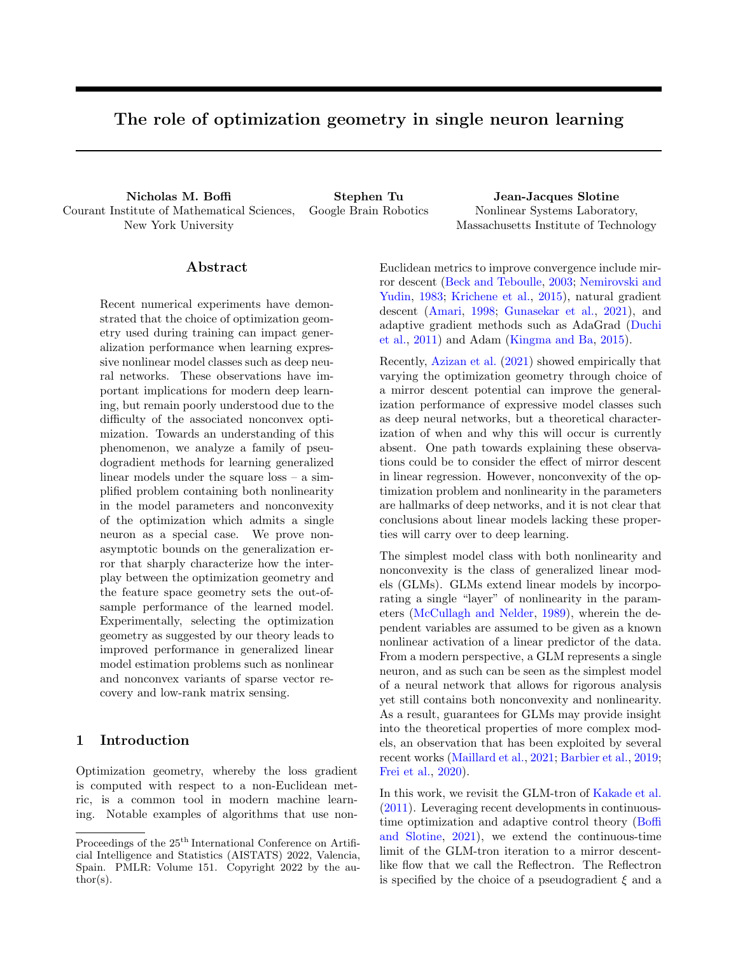risk compared to the Bayes-optimal predictor  $\varepsilon(h)$  as

$$
err(h) = E_{\mathbf{x}, \mathbf{y}} \left[ \left( h \left( \mathbf{x} \right) \quad y \right)^2 \right], \tag{1}
$$

$$
\varepsilon(h) = \mathbb{E}_{\mathbf{x} \cdot \mathbf{y}} \left[ \left( h(\mathbf{x}) \quad u \left( h \ , \mathbf{x} \, i \right) \right)^2 \right],\tag{2}
$$

with  $\widehat{\text{err}}(h)$  and  $\widehat{\varepsilon}(h)$  their empirical counterparts over the dataset. Towards minimizing  $err(h)$ , we present a family of mirror descent-like algorithms for minimizing  $\hat{\varepsilon}(h)$  over parametric hypotheses of the form  $h(\mathbf{x}) = u\left(\left\langle \widehat{\,\cdot\,}, \mathbf{x} \right\rangle\right)$ . Via standard statistical techniques (Bartlett and Mendelson, 2002), we transfer our guarantees on  $\hat{\varepsilon}(h)$  to  $\varepsilon(h)$ , which in turn implies a small  $err(h)$ . The starting point of our analysis is the GLM-tron of Kakade et al. (2011), which is an iterative update law of the form

$$
\hat{t}_{t+1} = \hat{t}_t + \frac{1}{n} \sum_{i=1}^n \left( u\left( \left\langle \hat{X}_i, \mathbf{x}_i \right\rangle \right) - y_i \right) \mathbf{x}_i, \quad (3)
$$

with initialization  $\hat{1} = 0$ . Equation (3) is a pseudogradient-based update law obtained from gradient descent on the square loss  $\widehat{\text{err}}(h)$  by replacing all appearances of  $u^{\theta}$  by the fixed value 1. It admits a continuous-time limit for an infinitesimal step size,

$$
\frac{d}{dt}^{\frown} = \frac{1}{n} \sum_{i=1}^{n} \left( u\left( \left\langle \widehat{\cdot}, \mathbf{x}_{i} \right\rangle \right) - y_{i} \right) \mathbf{x}_{i}, \qquad (4)
$$

where  $(3)$  is obtained from  $(4)$  via a forward-Euler discretization with a timestep  $\Delta t = 1$ .

Notation. Throughout this paper, we will use the notation  $\frac{d}{dt}\mathbf{x} = \dot{\mathbf{x}}$  interchangeably for any timedependent function  $\mathbf{x}(t)$ . Moreover, we will denote

$$
R_n(F) = \mathsf{E}_{\mathbf{x}_i; i} \left[ \sup_{h \geq F} \frac{1}{n} \sum_{i=1}^n \epsilon_i h(\mathbf{x}_i) \right]
$$

the Rademacher complexity of a function class  $\digamma$  on n samples, and the shorthand  $\zeta(h) = \max \widehat{\epsilon}(h), \widehat{\epsilon}(h)g$ in our generalization error bounds.

## 3 Continuous-time theory

In this section, we analyze a continuous-time flow that we will discretize to obtain implementable algorithms in Section 4. Our continuous-time analysis sketches the essence of the techniques required to obtain discrete-time guarantees, and provides intuition for our main results while avoiding discretizationspecific details. The class of algorithms we consider is captured by the dynamics

$$
\frac{d}{dt}\Gamma\psi\begin{pmatrix}\gamma\\ \gamma\end{pmatrix} = \frac{1}{n}\sum_{i=1}^{n} \left(u\left(\begin{pmatrix}\gamma\\ \gamma x_i\end{pmatrix}\right) - y_i\right) \xi\begin{pmatrix}\gamma\\ \gamma x_i\end{pmatrix} \mathbf{x}_i.
$$
 (5)

for  $\psi : \mathcal{M} \perp \mathbb{R}, \mathcal{M} \in \mathbb{R}^d$ , and  $\xi : \mathcal{M} \times \mathcal{N} \in \mathbb{R}$  with  $\xi$ 0. To obtain guarantees on the algorithms represented by (5), we require two primary assumptions.

**Assumption 3.1.**  $\psi$  : M ! R is  $\sigma$ -strongly convex with respect to a norm  $k k$ . Moreover,  $\min_{\mathbf{w} \geq \mathcal{M}} \psi(\mathbf{w}) = 0.$ 

Note that any  $\psi$  with finite minimum can be shifted to satisfy the final requirement of Assumption 3.1, as our algorithms only depend on gradients and Bregman divergences of  $\psi$ .

**Assumption 3.2.** The activation function  $u : \mathbb{R}$  ! [0, 1] is known, nondecreasing, and L-Lipschitz.

The parameters of the hypothesis  $h_t$  at time t are computed by applying the inverse gradient of  $\psi$ , which is guaranteed to exist by strong convexity. The mirror descent generalization of the GLM-tron is obtained from (5) by setting  $\xi(\mathbf{w}, \mathbf{x}) = 1$ , while mirror descent itself is obtained by setting  $\xi(\mathbf{w}, \mathbf{x}) = u^{\theta}(\hbar \mathbf{w}, \mathbf{x})$ . In order to outline the intuition behind our results, we focus exclusively on the case when  $\xi(\mathbf{w}, \mathbf{x}) = 1$  and defer the analysis with arbitrary  $\xi$  to discrete-time.

#### 3.1 Statistical guarantees

The following theorem gives a statistical guarantee for the Reflectron in continuous-time. It shows that for any choice of potential function  $\psi$ , the Reflectron eventually finds a nearly Bayes-optimal predictor.

**Theorem 3.1.** Suppose that  $f{\bf x}_i, y_i g_{i=1}^n$  are drawn i.i.d. from a distribution  $D$  supported on  $X$  $[0, 1]$ where  $E[y/x] = u(h, x)$ , u satis es Assumption 3.2, and  $\overline{2}$   $\overline{R}^d$  is an unknown vector of parameters. Let  $\psi$  satisfy Assumption 3.1. Assume that  $\left\| \frac{1}{n} \sum_{i=1}^n (u(h, \mathbf{x}_i)) - y_i \right\|$  *n* where k k denotes the dual norm to k k. Then for any  $\delta \geq (0,1)$ , there exists some time  $t < \sqrt{\frac{(\ )}{2^2}}$  such that the hypothesis  $h_t = u\left(\left\langle\widehat{\phantom{x}}(t),\mathbf{x}\right\rangle\right)$  satis es

$$
\zeta(h_t) \quad \sqrt{\frac{8L^2\eta^2\psi(\ )}{\sigma}} + 4R_n(F) + \sqrt{\frac{8\log(1/\delta)}{n}},
$$

with probability at least  $1 - \delta$ , where  $\hat{\mathbf{b}}(0)$  = arg min<sub>w 2M</sub>  $\psi(\mathbf{w})$ , and F<br>  $\hat{\mathbf{x}} \not\in \mathbb{b}$   $\mathbb{b}\mathbf{w}, \mathbf{x}$  i :  $\mathbf{w} \not\geq M$ ,  $\frac{d}{d}$  (  $\frac{k}{d}$   $\mathbf{w}$ )  $\psi$  )  $q$ .  $f\mathbf{x} \not\vdash h\mathbf{w}, \mathbf{x} \textit{i}: \mathbf{w} \not\supseteq M, d \quad (\ \ k \mathbf{w})$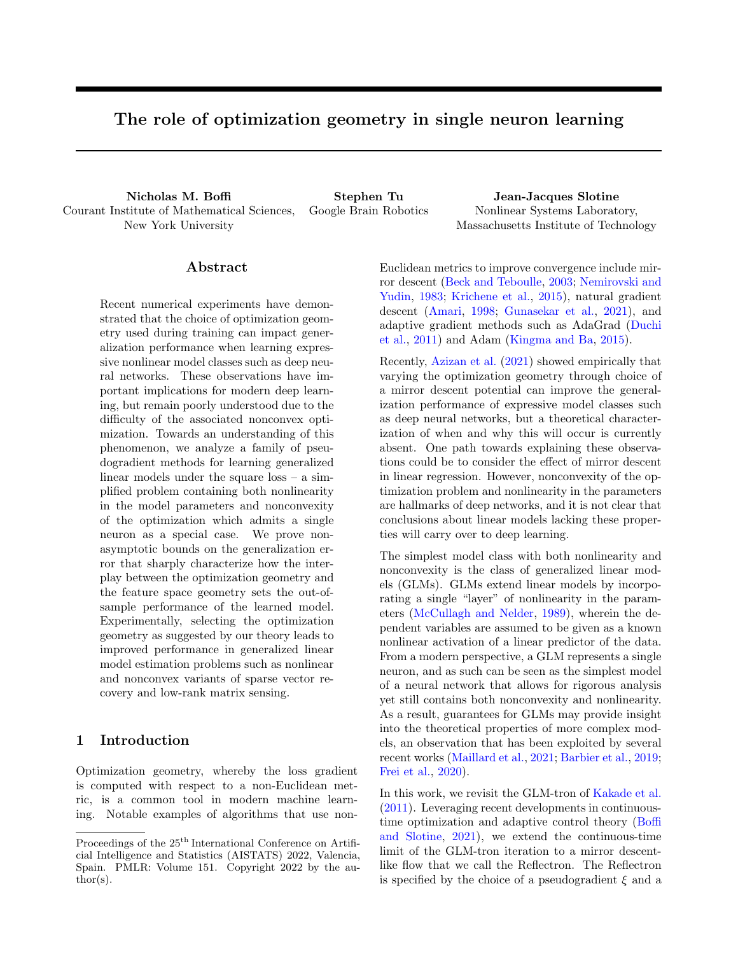.

Proof. Consider the rate of change of the Bregman divergence between the parameters for the Bayesoptimal predictor and the parameter estimates  $(t)$ ,

$$
\frac{d}{dt}d\left(\parallel\parallel\hat{ }\right)=\left\langle \hat{ }\quad,\left.\digamma^{2}\psi\left(\hat{ }\right)\hat{ }\right\rangle
$$

Observe that  $\frac{d}{dt} \int r \psi$  $= r^2 \psi$  $\bigg)$ <sup> $\dot{\widehat{\ }}$ </sup>, so that

$$
\frac{d}{dt}d\left(\parallel\widehat{\qquad}\right)=\frac{1}{n}\sum_{i=1}^{n}\left(y_{i}-u\left(\hbar\mathbf{x}_{i},i\right)\right)\left\langle \mathbf{x}_{i},\widehat{\qquad}\right\rangle \n+\frac{1}{n}\sum_{i=1}^{n}\left(u\left(\hbar\mathbf{x}_{i},i\right)-u\left(\left\langle \mathbf{x}_{i},\widehat{\qquad}\right\rangle\right)\right)\left\langle \mathbf{x}_{i},\widehat{\qquad}\right\rangle.
$$

Using that  $u$  is  $L$ -Lipschitz and nondecreasing, we may upper bound the second term by  $\frac{1}{L}\widehat{\varepsilon}(h_t)$ ,

$$
\frac{d}{dt}d\left(\bigwedge_{i=1}^{n}\hat{f}\right)
$$
\n
$$
\frac{1}{n}\sum_{i=1}^{n}\left(y_{i}u\left(\hbar\mathbf{x}_{i},i\right)\right)\left\langle\mathbf{x}_{i},\hat{f}\right\rangle\frac{1}{L}\hat{\varepsilon}(h_{t})\,. \tag{6}
$$

By assumption,  $k_{\overline{n}}^1 \sum_{i=1}^n (y_i - u(hx_i, i)) x_i k$   $\eta$ . Now, observe that by strong convexity of  $\psi$  and by the initialization,

$$
\Big\|\widehat{\phantom{a}}(0)\qquad\Big\|\quad\sqrt{\frac{2d\;\left(\begin{array}{c|c} \end{array}\right)\widehat{\phantom{a}}(0)\qquad\qquad\sqrt{2\psi(\phantom{a})}}{\sigma}\quad\sqrt{\frac{2\psi(\phantom{a})}{\sigma}}\;.
$$

By induction, assume that  $d \begin{pmatrix} 0 \ 0 \end{pmatrix}$  (*t*)  $\psi($  ) at time t. Then we have the bound

$$
\frac{d}{dt}d\left(\parallel\uparrow\right)\qquad \frac{1}{L}\widehat{\varepsilon}(h_t)+\eta\sqrt{\frac{2\psi(\parallel\cdot\parallel}{\sigma}},
$$

so that either  $\frac{d}{dt}d \mid \left| \right|$  $\Big)$  <  $\eta \sqrt{\frac{2}{2} \left( \frac{\pi}{2} \right)}$  or  $\widehat{\varepsilon}(h_t)$  $2L\eta\sqrt{\frac{2}{m}}$ . In the latter case, we have obtained the

desired bound on  $\widehat{\varepsilon}(h_t)$ . Otherwise, t cannot exceed

$$
t_f = \frac{d \left( \left( \begin{array}{c} \end{array} \right| ^\frown(0) \right)}{\sqrt{\frac{2}{\frown \dots}} \eta} = \sqrt{\frac{\psi(\cdot)}{2\eta^2}}
$$

to satisfy  $\widehat{\varepsilon}(h_t)$  2L $\eta \sqrt{\frac{2}{n+1}}$ . Hence there is some  $h_t$ with  $t < t_f$  such that  $\widehat{\varepsilon}(h_t) = 2L\eta \sqrt{\frac{2(t)}{t}}$ . To transfer this bound on  $\hat{\varepsilon}$  to  $\varepsilon$ , we need to bound  $\hat{\varepsilon}(h_t)$   $\varepsilon(h_t)$ . Application of a standard uniform convergence result (cf. Theorem  $B.3$ ) to the square loss<sup>1</sup> implies

$$
\widehat{\varepsilon}(h_t) \quad \varepsilon(h_t)j \quad 4R_n(F) + \sqrt{\frac{8\log(1/\delta)}{n}}
$$

with probability at least  $1 \delta$ .

Because  $\varepsilon(h_t) = \text{err}(h_t)$  up to a constant, we can find a good predictor by using a hold-out set to estimate  $err(h_t)$  throughout learning.

The statement of Theorem 3.1 uses a specific initialization strategy to write the generalization error bound in terms of  $\psi(\cdot)$ ; with an arbitrary initialization,  $\psi(\cdot)$ can be replaced by  $d \begin{pmatrix} \parallel \widehat{}}(0) \end{pmatrix}$ , and our definition of  $\overline{F}$  can be modified accordingly. As the bound depends on  $\psi($ ), C, and  $\eta$ , the potential  $\psi$  may be chosen in correspondence with available knowledge on the problem structure to optimize the guarantee on the generalization error. In Corollaries 4.1-4.3, we provide explicit illustrations of this fact. In the experiments in Section 6, we show how this can be used for improved estimation over the GLM-tron in problems such as sparse vector and low-rank matrix recovery.

Our proof of Theorem 3.1 is similar to the corresponding proof for the GLM-tron (Kakade et al., 2011), but has two primary modifications. First, we consider the Bregman divergence under  $\psi$  between the Bayes-optimal parameters and the current parameter estimates, rather than the squared Euclidean distance. Our use of Bregman divergence critically relies on the Bayes-optimal parameters appearing in the first argument. Second, rather than analyzing the iteration on  $k_t$ 2 <sup>2</sup> as in the discrete-time case, we analyze the dynamics of the Bregman divergence. Taking  $\psi = \frac{1}{2}k \quad k_2^2$  recovers the guarantee of the GLM-tron up to forward Euler discretization-specific details.

#### 3.2 Implicit regularization

We now study how the choice of  $\psi$  impacts the model learned by (5). To do so, we require a realizability assumption on the dataset.

Assumption 3.3. There exists a fixed  $\sigma$  such that  $y_i = u(h, \mathbf{x}_i)$  for all  $i = 1, \ldots, n$ .

In many cases, even the noisy dataset of Section 3.1 may satisfy Assumption 3.3 for a  $\overline{\phantom{a}}\neq\overline{\phantom{a}}$ . We now begin by proving convergence of the training error.

Lemma 3.1. Suppose that  $f_{\mathbf{X}_i,\, y_i g_{i=1}^n}$  are drawn i.i.d. from a distribution D supported on  $X$  [0,1]. Let the dataset satisfy Assumption  $3.3$ , let  $u$  satisfy Assumption 3.2, and let  $\psi$  satisfy Assumption 3.1. Suppose  $kx_i k$  C. Then  $\widehat{\epsilon}(h_t)$  ! 0 where  $h_t(\mathbf{x}) =$  $u\left(\left\langle \widehat{\phantom{x}}(t),{\bf x}\right\rangle \right)$  and  $\widehat{\phantom{x}}(0)$  =  $\arg\min_{{\bf w}\geq\mathcal{M}}\psi({\bf w}).$  Furthermore,  $\min_{t^0 \geq [0,t]} \widehat{t} \widehat{\epsilon}(h_{t^0}) g \quad O(1/t)$ .

Proof. Under the assumptions, (6) implies

 $\Box$ 

$$
\frac{d}{dt}d\ \left(\big\|\bigg\|^{2}\right)\qquad \frac{1}{L}\widehat{\varepsilon}(h_{t})\qquad 0\ .
$$

<sup>&</sup>lt;sup>1</sup>Note that while the square loss is neither bounded nor Lipschitz in general, it is both over the domain  $[0, 1]$  with bound  $b = 1$  and Lipschitz constant  $L' = 1$ .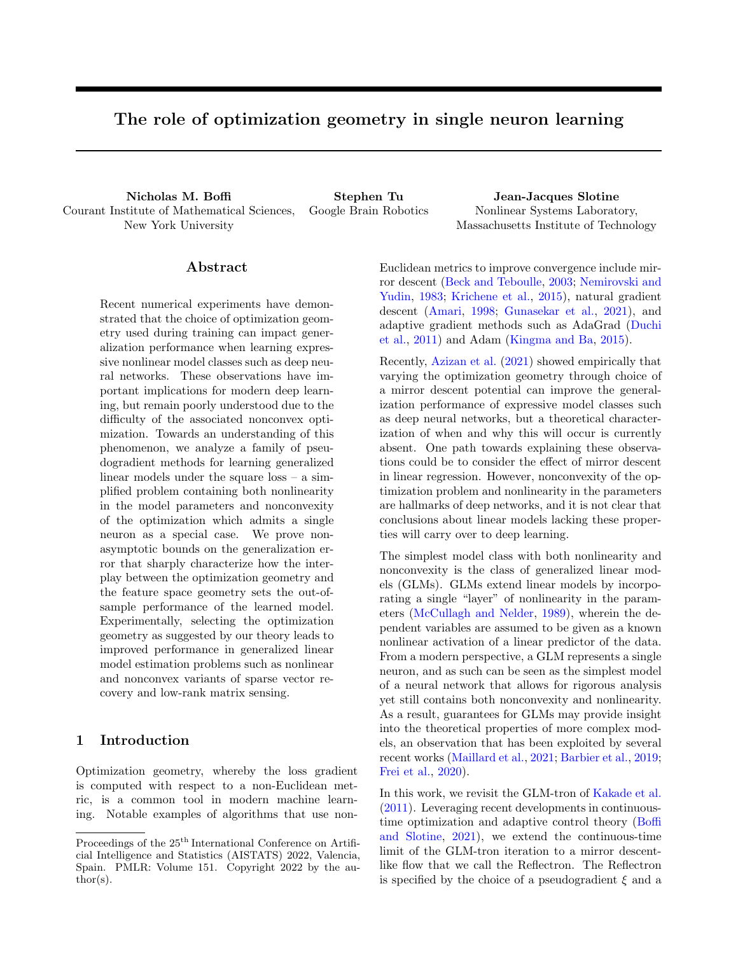Integrating both sides of the above gives the bound

$$
\int_0^t \widehat{\varepsilon}(h_{t^0}) dt^0 \quad Ld \ \left(\begin{array}{c} \end{array} \right| \widehat{\phantom{a}}(0) \Big) .
$$

Explicit computation shows that  $\frac{d}{dt}\hat{\epsilon}(h_t)$  is bounded, so that  $\hat{\varepsilon}(h_t)$  is uniformly continuous in t. By Barbalat's Lemma (cf. Lemma B.1), this implies that  $\hat{\varepsilon}$ ! 0 as t! 1. Now, note that

$$
\inf_{t^0 \geq [0,t]} f\widehat{\epsilon}(h_{t^0})gt = \int_0^t \inf_{t^0 \geq [0,t]} f\widehat{\epsilon}(h_{t^0})gt^{0}
$$

$$
\int_0^t \widehat{\epsilon}(h_{t^0})dt^0 \quad Ld \ \left( \parallel \widehat{\phantom{a}}(0) \right),
$$

so that 
$$
\inf_{t^0 \geq [0, t]} f \widehat{\epsilon}(h_{t^0}) g \xrightarrow[t]{\text{Ld}} \frac{(\mathcal{K}^{\widehat{\epsilon}(0)})}{t}.
$$

Lemma  $3.1$  shows that  $(5)$  will converge to an interpolating solution for a realizable dataset, and that the best hypothesis up to time t does so at an  $O(1/t)$  rate; the proof is given in the appendix.

In general, there may be many possible vectors  $\hat{ }$  consistent with the data. The following theorem provides insight into the parameters learned by (5). Our result is analogous to the characterization of the implicit bias of mirror descent due to Gunasekar et al. (2018a), and uses a continuous-time proof technique inspired by the discrete-time technique in Azizan et al. (2019). A similar continuous-time proof first appeared in Boffi and Slotine (2021) in the context of adaptive control.

Theorem 3.2. Consider the setting of Lemma 3.1. Let  $A = f^{\top} 2 M : u(\langle \cdot, \mathbf{x}_i \rangle) = y_i, i = 1, ..., n$ be the set of parameters that interpolate the data, and assume that  $\hat{a}(t)$  !  $\hat{b}_1$  2 A. Further assume that  $u(t)$ is invertible. Then  $\hat{i}_1 = \arg \min_{2A} d \quad (\hat{i} \parallel \hat{i}_0)$ . In particular, if  $\hat{f}(0) = \arg \min_{\mathbf{w} \geq \mathcal{M}} \psi(\mathbf{w})$ , then  $\hat{f}$  $\arg \min_{2A} \psi^{-}$ ).

*Proof.* Let  $\overline{\phantom{a}}$  2 A be arbitrary. Define the error on example *i* as  $\tilde{y}_i\left(\hat{u}(t)\right) = \left(u\left(\left\langle \hat{u}(t), \mathbf{x}_i \right\rangle\right) - y_i\right)$ . Then,

$$
\frac{d}{dt}d \quad \left(\begin{array}{c} -\| \widehat{\phantom{a}}(t) \end{array}\right) \n= \frac{1}{n} \sum_{i=1}^{n} \tilde{y}_i \left(\widehat{\phantom{a}}(t) \right) \left\langle \widehat{\phantom{a}}(t) \right| \widehat{\phantom{a}}^{-}, \mathbf{x}_i \right), \n= \frac{1}{n} \sum_{i=1}^{n} \tilde{y}_i \left(\widehat{\phantom{a}}(t) \right) \left( \left\langle \widehat{\phantom{a}}(t), \mathbf{x}_i \right\rangle \right) u^{-1}(y_i) \right).
$$

Above, we used that  $\overline{\phantom{a}}$  2 A and that  $u($ ) is invertible, so that  $u\left(\langle \overline{\phantom{x}}, \mathbf{x}_i \rangle \right) = y_i$  implies that  $\langle \overline{\phantom{x}}, \mathbf{x}_i \rangle = u^{-1}(y_i)$ .

Integrating both sides of the above, we find that

$$
d \quad \left(\begin{array}{c} \mid \\ \mid \\ \mid \\ \end{array}\right) \quad d \quad \left(\begin{array}{c} \mid \\ \mid \\ \end{array}\right) \quad d \quad \left(\begin{array}{c} \mid \\ \mid \\ \end{array}\right) \quad \left(\begin{array}{c} \mid \\ \mid \\ \end{array}\right) \quad \left(\begin{array}{c} \mid \\ \mid \\ \end{array}\right) \quad \left(\begin{array}{c} \mid \\ \mid \\ \end{array}\right) \quad d \quad \left(\begin{array}{c} \mid \\ \mid \\ \end{array}\right) \quad d \quad \left(\begin{array}{c} \mid \\ \mid \\ \end{array}\right) \quad d \quad \left(\begin{array}{c} \mid \\ \mid \\ \end{array}\right) \quad d \quad \left(\begin{array}{c} \mid \\ \mid \\ \end{array}\right) \quad d \quad \left(\begin{array}{c} \mid \\ \mid \\ \end{array}\right) \quad d \quad \left(\begin{array}{c} \mid \\ \mid \\ \end{array}\right) \quad d \quad \left(\begin{array}{c} \mid \\ \mid \\ \end{array}\right) \quad d \quad \left(\begin{array}{c} \mid \\ \mid \\ \end{array}\right) \quad d \quad \left(\begin{array}{c} \mid \\ \mid \\ \end{array}\right) \quad d \quad \left(\begin{array}{c} \mid \\ \mid \\ \end{array}\right) \quad d \quad \left(\begin{array}{c} \mid \\ \mid \\ \end{array}\right) \quad d \quad \left(\begin{array}{c} \mid \\ \mid \\ \end{array}\right) \quad d \quad \left(\begin{array}{c} \mid \\ \mid \\ \end{array}\right) \quad d \quad \left(\begin{array}{c} \mid \\ \mid \\ \end{array}\right) \quad d \quad \left(\begin{array}{c} \mid \\ \mid \\ \end{array}\right) \quad d \quad \left(\begin{array}{c} \mid \\ \mid \\ \end{array}\right) \quad d \quad \left(\begin{array}{c} \mid \\ \mid \\ \end{array}\right) \quad d \quad \left(\begin{array}{c} \mid \\ \mid \\ \end{array}\right) \quad d \quad \left(\begin{array}{c} \mid \\ \mid \\ \end{array}\right) \quad d \quad \left(\begin{array}{c} \mid \\ \mid \\ \end{array}\right) \quad d \quad \left(\begin{array}{c} \mid \\ \mid \\ \end{array}\right) \quad d \quad \left(\begin{array}{c} \mid \\ \mid \\ \end{array}\right) \quad d \quad \left(\begin{array
$$

The above relation is true for any  $\overline{2}$  A. Furthermore, the integral on the right-hand side is independent of ¯. Hence the arg min of the two Bregman divergences must be equal, which shows that  $\hat{I}_1$  = arg min  $_{2A} d$   $\begin{pmatrix} - \end{pmatrix} \hat{I}_1(0)$ .  $\Box$ 

Theorem 3.2 elucidates the implicit bias of pseudogradient algorithms captured by (5). Out of all possible interpolating parameters, (5) finds those that minimize the Bregman divergence between the set of interpolating parameters and the initialization.

## 4 Discrete-time algorithms

Equation (5) can be discretized via Forward-Euler to form an implementation with a step size  $\lambda > 0$ ,

$$
\Gamma \psi \begin{pmatrix} \widehat{t}_{t+1} & \Gamma \psi \begin{pmatrix} \widehat{t}_{t} \end{pmatrix} \\ = \frac{\lambda}{n} \sum_{i=1}^{n} \left( u \left( \begin{pmatrix} \widehat{t}_{t} & \mathbf{x}_{i} \end{pmatrix} \right) & y_{i} \right) \xi \begin{pmatrix} \widehat{t}_{t} & \mathbf{x}_{i} \end{pmatrix} \mathbf{x}_{i}, \quad (7)
$$

$$
\widehat{t}_{t+1} = \Pi_{C} \begin{pmatrix} \widehat{t}_{t+1} \end{pmatrix} . \tag{8}
$$

In (8),  $C$  denotes a convex constraint set and  $\Pi_C(\mathbf{z}) =$  $\arg \min_{\mathbf{x} \geq C\setminus \mathcal{M}} d$  ( $\mathbf{x} \not\in \mathbf{z}$ ) denotes the Bregman projection. To analyze the iteration  $(7) \& (8)$ , we need two assumptions on  $\xi$ .

Assumption 4.1 (Adapted from Frei et al. (2020)). For any  $a > 0$  and  $b > 0$ , there exists a  $\gamma > 0$  such that  $\inf_{k \le k} a_{k \le k} b_{k}(\mathbf{w}, \mathbf{x}) \quad \gamma > 0.$ 

For mirror descent, Assumption 4.1 reduces to a requirement that the derivative of the activation remains nonzero over any compact set.

**Assumption 4.2.** There exists a constant  $B > 0$  such that  $\xi(\mathbf{w}, \mathbf{x})$  B for all  $\mathbf{w} \geq \mathcal{M}, \mathbf{x} \geq \mathcal{X}$ .

For mirror descent, we take  $B = L$ , while for the mirror descent generalization of GLM-tron, we take  $B = 1$ . We may now state our statistical guarantees.

**Theorem 4.1.** Suppose that  $f{\bf x}_i, y_i g_{i=1}^n$  are drawn i.i.d. from a distribution  $D$  supported on  $X$  $[0, 1]$  where  $E[y/x] = u(h, x)$ , u satis es Assumptions  $3.2 \& 4.1$ , and  $2 \& C$  is an unknown vector of parameters. Let  $\psi$  satisfy Assumption  $3.2$ , and let  $\xi$  satisfy Assumptions  $4.1 \& 4.2$ . Assume that  $kx_ik$   $C, k k$   $W, and$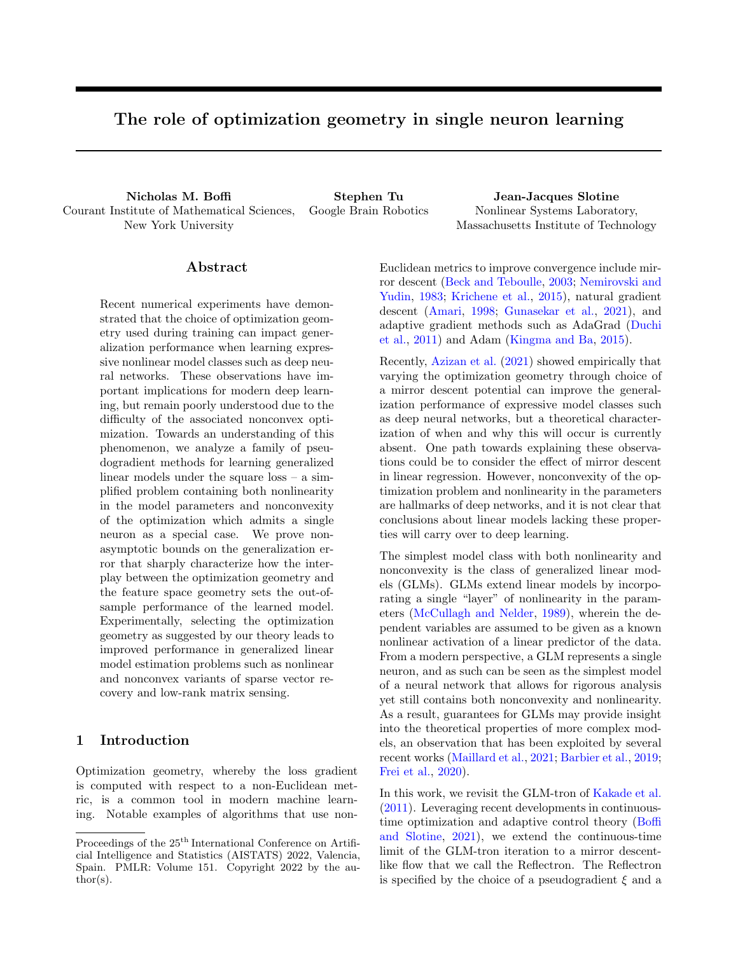$\left\| \frac{1}{n} \sum_{i=1}^{n} \left( u \left( \hat{n}, \mathbf{x}_i \right) - y_i \right) \xi \left( \hat{n}, \mathbf{x}_i \right) \right\|$  <sup>η</sup>. Let <sup>γ</sup> correspond to  $a = C$  and  $b = W + \sqrt{\frac{2 (C)}{c}}$  in Assumption 4.1. Then for  $\lambda$   $\frac{1}{2C^2BL}$  there exists some iteration  $t < \sqrt[1]{\frac{1}{2^2}}$  such that  $h_t = u\left(\left\langle \hat{a}, \mathbf{x} \right\rangle \right)$ satis es with probability at least  $1 \delta$ 

$$
\zeta(h_t) \sqrt{\frac{32L^2\eta^2\psi( )}{\gamma^2\sigma}} \left(\frac{2C^2LB+1}{2C^2LB}\right) + 4R_n(F) + \sqrt{\frac{8\log(1/\delta)}{n}},
$$

where  $\hat{I}_1 = \arg \min_{\mathbf{w} \geq C \setminus \mathcal{M}} \psi(\mathbf{w})$ , and where  $F =$  $f\mathbf{x} \not\vdash h\mathbf{w}, \mathbf{x} \textit{i}: \mathbf{w} \not\supseteq M, d \quad (\mathbf{k} \mathbf{w}) \quad \psi(\cdot) \textit{q}.$ 

Theorem 4.1 shows that, for a suitable choice of step size, the discrete-time iteration  $(7)$  &  $(8)$  preserves the guarantees of the continuous-time flow (5). The proof (and all subsequent proofs) are given in the appendix. We now state several consequences of Theorem 4.1 in standard settings that highlight the impact of the potential on generalization in nonconvex learning.

**Corollary 4.1** ( $p/q$  dual norm pairs with  $p \n\geq [2, 1]$ ). Let  $k k = k k_p$  with  $p \n\geq [2, 1]$ . Then  $\psi(\mathbf{w}) = \frac{1}{2} k \mathbf{w} k_q^2$ <br>is  $(q \quad 1)$ -strongly convex with respect to  $k k_q$  where  $1/q + 1/p = 1$ . The generalization error is bounded as

$$
\zeta(h_t) = \frac{4LWC}{q-1} \left( \frac{\sqrt{2\log(4/\delta)(q-1)} + 1}{\mathcal{P}_{\overline{n}}^2} \right) \frac{2C^2LB + 1}{2C^2LB} + \frac{4CW}{\sqrt{n(q-1)}} \left( 1 + \mathcal{P}_{\overline{q-1}}^2 \right) + \sqrt{\frac{8\log(2/\delta)}{n}}.
$$

Corollary 4.2 ( $1/1$  dual norm pairs, global setup). Let  $k k = k k_1$  and  $k k = k k_1$ . Then  $\psi(\mathbf{w}) = \frac{1}{2} k \mathbf{w} k_q^2$ with  $q = \frac{\log(d)}{\log(d)}$  $\frac{\log(d)}{\log(d)}$  is  $\frac{1}{3\log(d)}$  -strongly convex with respect to  $k$   $k_{1}$ . Then, the generalization error can be bounded

$$
\zeta(h_t) = \frac{4CW(1 + \frac{D_{3\log d})^2}{n^{1=2}} + \sqrt{\frac{8\log(2/\delta)}{n}}}{\frac{12LCW\sqrt{3\log(d)}(2C^2LB+1)}{C^2LB}} + \frac{\sqrt{\frac{8\log(4d/\delta)}{n}}}{n}.
$$

Corollary 4.3 ( $1/1$  dual norm pairs, simplex setup). Let  $k k = k k_1$  and  $k k = k k_1$ . Take  $\psi(\mathbf{w}) =$  $d_{KL}$  (w k u) where u is the discrete uniform distribution in d dimensions and where  $d_{KL}$  denotes the KL divergence. Then  $\psi(\mathbf{w})$  is 1-strongly convex with respect to k  $k_1$  over the probability simplex and  $\psi(\mathbf{w})$  $log(d)$  for any w. Then,

$$
\zeta(h_t) \quad 4C\sqrt{\frac{2\log d}{n}} + \sqrt{\frac{8\log(2/\delta)}{n}}
$$

$$
+ \frac{3LC\frac{D^2}{32\log d(2C^2LB+1)}\sqrt{\frac{\log(4d/\delta)}{n}}}{C^2LB}.
$$

In the above results, the dimensionality dependence of the generalization error has been reduced by judicious choice of  $\psi$ . In particular, Corollaries 4.2 and 4.3 are merely logarithmic in dimension, while a bound for the GLM-tron would be polynomial in dimension.

Similar to Theorem 4.1, we now show that Lemma 3.1 and Theorem 3.2 are preserved when discretizing (5). We first state a convergence guarantee.

 ${\bf Lemma}$  4.1. Suppose that  $\mathit{fx}_i, y_i g^n_{i=1}$  are drawn i.i.d. from a distribution D supported on  $X$  [0,1]. Let the dataset satisfy Assumption  $3.3$  let  $u$  satisfy Assumption 3.2, and let  $\psi$  satisfy Assumption 3.1. Suppose  $kx_ik$  C. Then for  $\lambda$  $\frac{2}{C^2BL}$ ,  $\widehat{\varepsilon}(h_t)$  !  $0$  where  $h_t(\mathbf{x})$   $=$   $u\left(\left\langle \uparrow(t),\mathbf{x}\right\rangle \right)$  is the hypothesis with parameters output by  $(7)$  &  $(8)$  at time t with  $1 = \arg \min_{\mathbf{w} \geq C \setminus \mathcal{M}} \psi(\mathbf{w})$ . Furthermore,  $\min_{t^0 \geq [0,t]} \widehat{t} \widehat{\epsilon}(h_{t^0}) g \quad O(1/t).$ 

We conclude by showing that the implicit bias properties of  $(7)$  &  $(8)$  match those of  $(5)$ .

Theorem 4.2. Consider the setting of Lemma 4.1, and assume that  $u()$  is invertible. Let  $A = f^T 2$  $C \setminus M : u(\langle \overline{\phantom{x}}, \mathbf{x}_i \rangle) = y_i, i = 1, \ldots, ng$  be the set of parameters that interpolate the data, and assume that  $\hat{b}_t$ !  $\hat{b}_1$  2 A. Then  $\hat{b}_1$  = arg min <sub>2A</sub> d  $\left(\begin{array}{c} 1 \ \end{array} \right)$ . In particular, if  $\hat{I}_1 = \arg \min_{\mathbf{w} \geq C\Lambda M} \psi(\mathbf{w})$ , then  $\hat{I}_1 =$  $\arg \min_{2A} \psi^{-}$ .

Taken together, the results in this section show that the continuous guarantees are preserved by discretization, though the analysis requires care of higher-order terms that vanish in the continuous limit.

## 5 Stochastic optimization

In this section, we provide guarantees for the iteration

$$
\Gamma \psi \begin{pmatrix} \widehat{t} & t+1 \\ t+1 & \end{pmatrix} \Gamma \psi \begin{pmatrix} \widehat{t} \\ t \end{pmatrix}
$$
\n
$$
= \lambda \left( u \left( \begin{pmatrix} \widehat{t} & t \\ t & \end{pmatrix} \right) - y_t \right) \xi \begin{pmatrix} \widehat{t} & t \\ t & \end{pmatrix} \mathbf{x}_t, \quad (9)
$$

$$
\hat{t}_{t+1} = \Pi_C \left( \hat{t}_{t+1} \right), \tag{10}
$$

which is similar to stochastic gradient descent. We first consider the bounded noise setting, where we conclude a  $O(1^{t} t)$  convergence rate of the generalization error.

**Theorem 5.1.** Suppose that  $f\mathbf{x}_t, y_t g_{t=1}^{\mathcal{T}}$  are drawn i.i.d. from a distribution  $D$  supported on  $X$  $[0, 1]$ where  $E[y/x] = u(h, xi)$ ,  $2 C$  is an unknown vector of parameters, and  $u$  satis es Assumption 3.2. Assume that C is compact, and let  $R = \text{Diam}(\mathcal{C})$  as measured in the norm  $k k$ . Suppose that  $\psi$  satis es Assumption 3.1, and that  $kx_t k$  C for all t. Fix a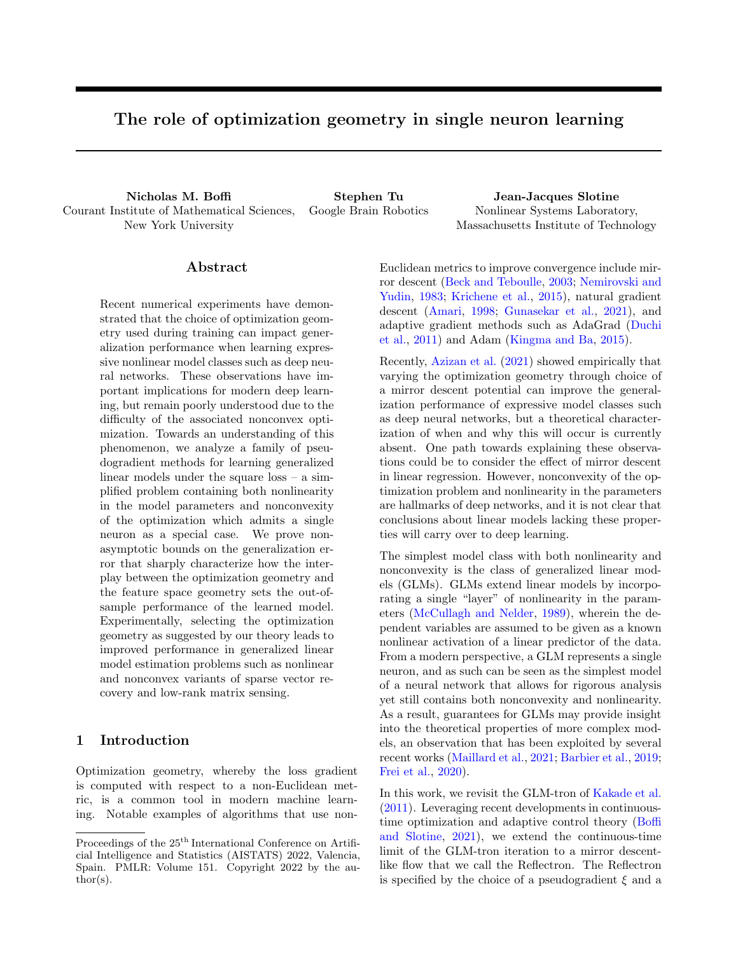horizon T, and choose  $\lambda < \min\left\{\frac{2}{C^2LB}, \frac{ \rho!}{{\overline{\overline{T}}}} \right\}$ . Then for any  $\delta \supseteq (0,1)$ , with probability at least  $1 - \delta$ ,

$$
\min_{t < T} \varepsilon(h_t)
$$
\n
$$
O\left(\frac{L}{\overline{T}\gamma}\left(\psi(\cdot) + \sqrt{CBR\log(6/\delta)} + \frac{C^2B^2}{\sigma}\right)\right)
$$

where  $h_t$  is the hypothesis output by (9) & (10) at iteration t with  $\hat{I}_1 = \arg \min_{\mathcal{Q} \in \mathcal{Q}} \psi(\cdot)$ , and  $\gamma$  corresponds to  $a = C$  and  $b = R + k$  k in Assumption 4.1.

We now consider the realizable setting, where we obtain fast  $O(1/t)$  rates.

**Theorem 5.2.** Suppose that  $f{\mathbf x}_t, y_t g_{t=1}^{\gamma}$  are drawn i.i.d. from a distribution  $D$  supported on  $X$ . Let Assumption 3.3 be satis ed with  $2\text{ C}$  an unknown vector of parameters, let u satisfy Assumption 3.2, let  $\psi$  satisfy Assumption 3.1, and assume that  $kx_t$  C for all t. Fix  $\lambda < \frac{2}{LC^2B}$ . Then for any  $\delta \n\supseteq (0,1)$ , for all  $T = 1$ , with probability at least  $1 - \delta$ 

$$
\min_{t < T} \varepsilon(h_t) \quad O\left(\frac{L^2 C^2 B \psi(\ ) \log(1/\delta)}{\sigma T \gamma}\right),\,
$$

where  $h_t$  is the hypothesis output by (9) & (10) at iteration t and where  $\gamma$  corresponds to  $a = C$  and  $b = k$   $k + \sqrt{\frac{2(k-1)}{2}}$  in Assumption 4.1.

# 6 Experiments

We now illustrate our theoretical results in two concrete problem settings. We first study a scalar-valued output problem where the Bayes-optimal parameter vector is sparse. We then consider a vector-valued system identification problem where the Bayes-optimal parameter matrix is low-rank.

We compare three variants of the Reflectron with three different choices of potential. The first is the GLMtron, which is equivalent to the use of the Euclidean potential  $\psi_2(\mathbf{x}) = \frac{1}{2} k \mathbf{x} k_2^2$ . The second is the *p*-norm algorithm (Gentile, 2003), which uses the potential  $\psi_p(\mathbf{x}) = \frac{1}{2} k \mathbf{x} k_p^2$  for  $p \quad 2 \quad [1, 1]$ . The third variant is the hypentropy algorithm (Ghai et al., 2020), which generalizes the setup considered in Corollary 4.3 beyond the probability simplex and uses the potential  $\psi$  (**x**) =  $\sum_{i=1}^{d} (\mathbf{x}_i \arcsinh(\mathbf{x}_i/\beta) - \sqrt{\mathbf{x}_i^2 + \beta^2})$  for  $\beta$  2 (0, 7). A complete description of the experimental setup is given in the appendix.

#### 6.1 Sparse vector GLMs

In this setting, the learner receives measurements  $y_i = \sigma(h, \mathbf{x}_i) + w_i$  with  $\mathbf{x}_i$ Unif([  $1, 1]^{d}$ ),  $w_{i}$ Unif([  $\sigma_w, \sigma_w$ ]<sup>*d*</sup>), and where  $\sigma$ ( ) is the sigmoid activation. is taken to be an s-sparse vector with  $s \, d$ , and we compare the GLM-tron with explicit  $\ell_1$  projection to the Reflectron with matching explicit  $\ell_1$  projection and the implicit regularization due to the either the hypentropy or p-norm potentials.

The learner has knowledge that is sparse, as well as access to the upper bounds  $k k_p$  W<sub>p</sub>. In the experiments, we set  $W_p = 2k k_p$ . Let  $B_p(r)$  denote the closed  $\ell_p$ -ball in  $\mathbb{R}^d$  of radius r centered at the origin. For the GLM-tron, we set  $C = B_1(W_1)$  and the projection onto  $C$  is Euclidean. For the p-norm algorithm, we set  $C = B_{p}(W_{p})$  and apply a Bregman projection onto C. For hypentropy, we set  $C = B_1(W_1)$ and again use the Bregman projection onto C. We compare each algorithm in two experimental regimes.

In the first regime, the ambient dimension  $d = 10000$ and sparsity  $s = 100$  are fixed, and we study the performance of each algorithm as a function of the number of data points n. For each pair of  $(n, \text{alg})$ , we run the full-batch pseudogradient algorithm for 5000 iterations over a grid of hyperparameters, and we tune the step size  $\lambda$  and the p value for the p-norm algorithm (resp.  $\beta$ for hypentropy). As suggested by Theorem 4.1, we use a holdout set of size  $n_{hold} = 500$  to select the parameters with lowest validation error over 5000 iterations. Each algorithm is run for 5 trials and the configuration that achieves the lowest median test error (over the 5 trials) is shown in the figures. The size of the test set is  $n_{\text{test}} = 1000$ , and the error bars correspond to the min/median/max over the 5 trials.

Figure 1a shows the training error and holdout error of the best configuration for each algorithm with  $n = 1000$ . Each algorithm overfits, and the holdout set is necessary to find the predictor with lowest generalization error. Figure 1b shows the resulting test error of each algorithm. For each value of  $n$ , both the p-norm and hypentropy algorithms have lower test error when compared to the GLM-tron, in line with the generalization error predictions of Theorem 4.1.

In the second regime, the number of data points is fixed at  $n = 1000$  while the ambient dimension d is varied for fixed  $s/d = 0.01$ . Figure 1c shows the test error for each algorithm, which increases with the ambient dimension  $d$  in all cases. As in Figure 1b, for fixed d, both the p-norm and hypentropy algorithms have lower test error than the GLM-tron. Taken together, Figures  $1(a)-(c)$  validate the claims of Theorem 4.1.

To verify the predictions of Theorem 4.2, we remove the explicit projection onto  $\mathcal C$  for both the GLM-tron and hypentropy and visualize the structure of the learned parameter vector in Figure 1d  $(d = 1000,$  $s = 10$ , and  $n = 1000$ . Figure 1d shows that hypentropy recovers a much sparser solution than the GLM-tron despite the lack of an explicit projection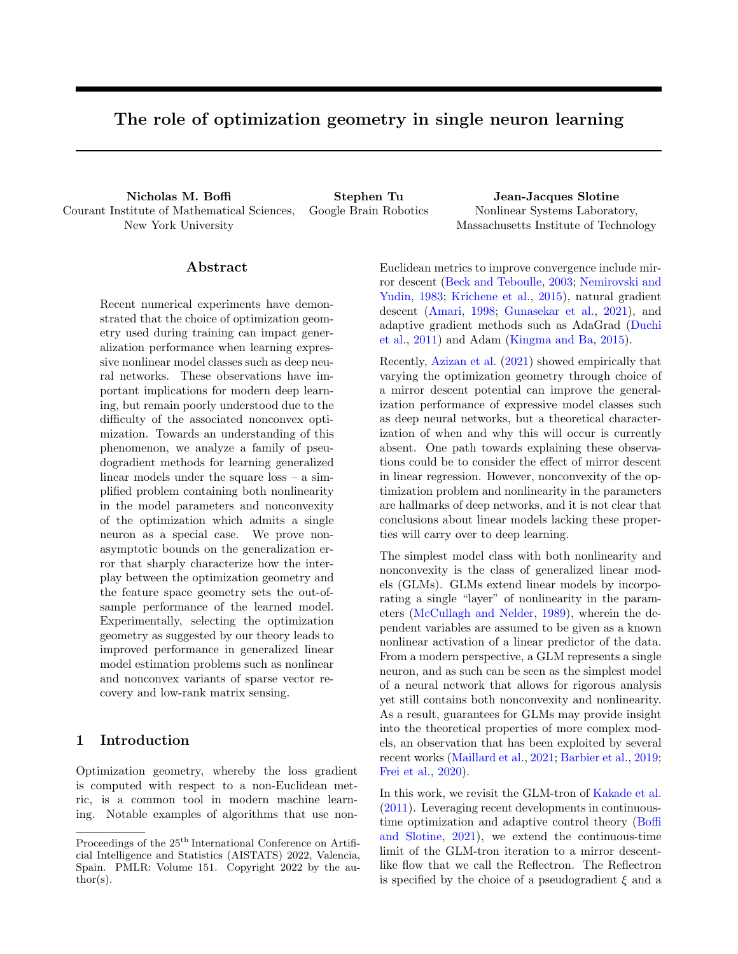

Figure 1: (a) Risk curves. Solid indicates training error and dashed indicates holdout error. (b) Test error with d and s fixed as n varies. (c) Test error with n and  $s/d$  fixed as d varies. (d) Weights learned without explicit projection. (e) Test error with d and r fixed as n varies. (f) Test error with fixed  $r/d$  as  $n = d$  varies.

onto the  $\ell_1$ -ball. In particular, 971 coordinates have absolute value greater than 0.001 for the parameters found by the GLM-tron, while there are only 56 for hypentropy. Moreover, the qualitative structure of the parameter vector found by hypentropy is much closer to that of the true parameters, and quantitatively Ш Ш parameters found by the *p*-norm algorithm have simbglm  $\Big\|_1 = 24.609$  while  $\Big\|$  hyp  $\Big\|_1 = 0.421$ . The ilar structure to those found by hypentropy and are omitted for visual clarity.

#### 6.2 Low rank system identification

We now consider a nonlinear system identification problem similar to Foster et al. (2020), where the system dynamics are given by a vector-valued GLM and the parameters may be identified using a spectral variant of the Reflectron. In this setting, the learner observes *n* trajectories  $f{\bf x}_{t}^{i}g_{t=0;i=1}^{T,n}$  from the discretetime dynamical system  $\mathbf{x}_{t+1}^i = \rho \mathbf{x}_t^i + \sigma(\mathbf{\Theta} \mathbf{x}_t^i) + w_t^i$ . The system is initialized from  $\mathbf{x}_0^i$  Unif([ 1, 1]<sup>d</sup>), the process noise is given by  $w_t^i$  Unif $\left( \begin{bmatrix} \sigma_w, \sigma_w \end{bmatrix}^d \right)$ , σ( ) is the element-wise sigmoid activation, and Θ is a d d matrix with  $r = \text{rank}(\Theta)$  d. This model is motivated by applications in computational neuroscience, where the system state can be interpreted as a vector of firing rates in a recurrent neural network, and the learned parameters represent the synaptic weights (Rutishauser et al., 2015). In the experiments, we fix  $\rho = 0.9$ ,  $T = 5$ , and  $\sigma_w = 0.1$ .

The generalization error for an estimate 
$$
\boldsymbol{\Theta}
$$
 is  
\n
$$
\varepsilon(\hat{\boldsymbol{\Theta}}) = \frac{1}{2T} \sum_{t=0}^{T} \mathbb{E}_{\mathbf{x}_0} \left[ \left\| \mathbf{x}_{t+1} \ \rho \mathbf{x}_t \ \sigma(\hat{\boldsymbol{\Theta}} \mathbf{x}_t) \right\|^2 \right],
$$
\nwhich measures the ability of the learned connectivity to correctly predict a new random trajectory in a mean square sense. We search  
\nfor  $\hat{\boldsymbol{\Theta}}$  by minimizing the empirical loss  $\hat{\varepsilon}(\hat{\boldsymbol{\Theta}}) = \frac{1}{2nT} \sum_{i=1}^{n} \sum_{t=0}^{T-1} \left\| \mathbf{x}_{t+1}^i \ \rho \mathbf{x}_t^i \ \sigma(\hat{\boldsymbol{\Theta}} \mathbf{x}_t^i) \right\|^2.$ 

Similar to Section 6.1, the learner has knowledge that  $\Theta$  is low-rank, and we compare how the implicit bias of each method impacts its generalization performance. Let  $\lambda(M)$  denote the vector of singular values of a matrix M. For both the GLM-tron and hypentropy algorithms, we project onto  $C = \left\{\widehat{\Theta} \ 2 \mathbb{R}^{d-d} : \left\|\lambda(\widehat{\Theta})\right\|_{1} \quad 2 k\lambda(\Theta) k_{1}\right\}$ . For the *p*-norm algorithm, we project onto  $C =$  $\left\{\widehat{\Theta} \supseteq \mathbb{R}^{d-d}: \left\|\lambda(\widehat{\Theta})\right\|_{p} \quad 2 k\lambda(\Theta)k_{p}\right\}$ . Hyperparameters are tuned just as in the sparse vector setting.

In Figure 1e, the ambient dimension and rank are fixed to be  $d = 1000$  and  $r = 20$ , and we study the impact of the number of trajectories  $n$  on the generalization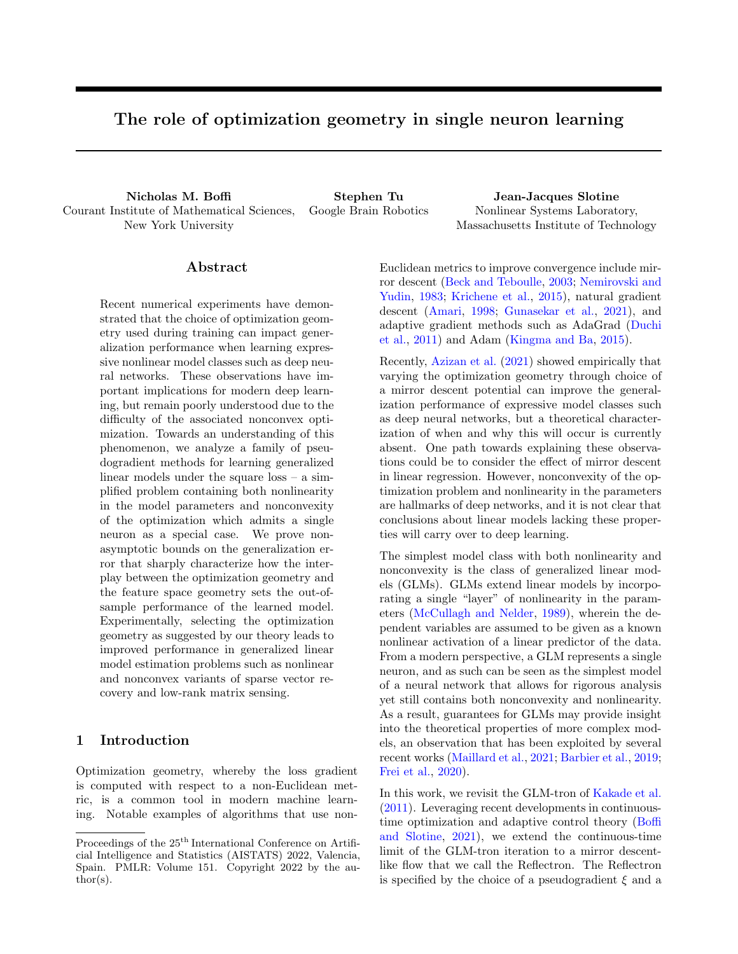error. Both the p-norm and hypentropy algorithms achieve lower test error than the GLM-tron algorithm for fixed *n*. In Figure 1f, the ambient dimension  $d$ is varied with fixed  $r/d = 0.02$ , and the number of trajectories is held equal to the dimension  $n = d$ . A heuristic explanation of this scaling is provided in Appendix A.3. As the dimension increases, the gap between the test error for the GLM-tron and hypentropy increases. This trend also holds for the p-norm algorithm for  $n < 1200$ , which begins to become brittle to the choice of hyperparameter for large  $n$ . As in the previous section, these results validate the predictions of Theorem 4.1, now with vector-valued outputs.

# 7 Conclusions and future directions

In this work, we studied the effect of optimization geometry on the statistical performance of generalized linear models trained with the square loss. We obtained strong non-asymptotic guarantees that identify how the interplay between optimization geometry and feature space geometry can reduce dimensionality dependence of both the training and generalization errors. We demonstrated the validity of our theoretical results on sparse vector and low-rank matrix recovery problems, where it was shown that pairing the optimization geometry with the feature space geometry as suggested by our analysis consistently led to improved out-of-sample performance.

Single neurons and GLMs highlight important aspects of more complex deep models, so that our work provides insight into the observations by Azizan et al. (2021) that the choice of mirror descent potential affects the generalization performance of deep networks. Moreover, our results provide a quantitative characterization of this effect.

There are a number of natural directions for future work. A first goal is to classify the typical feature space geometry for neural networks on standard datasets. Given such a classification, a well-tailored potential function could be developed to improve generalization performance. A second question is whether there are pseudogradient methods suitable for multilayer architectures, and if they could lead to improved performance or a simpler analysis relative to gradient descent.

#### References

- Amari, S. (1998). Natural gradient works efficiently in learning. Neural Computation, 10(2):251–276.
- Azizan, N., Lale, S., and Hassibi, B. (2019). Stochastic mirror descent on overparameterized nonlinear

models: Convergence, implicit regularization, and generalization. arXiv:1906.03830.

- Azizan, N., Lale, S., and Hassibi, B. (2021). Stochastic mirror descent on overparameterized nonlinear models. IEEE Transactions on Neural Networks and Learning Systems.
- Barbier, J., Krzakala, F., Macris, N., Miolane, L., and Zdeborová, L. (2019). Optimal errors and phase transitions in high-dimensional generalized linear models. Proceedings of the National Academy of Sciences,  $116(12):5451-5460$ .
- Bartlett, P. L., Long, P. M., Lugosi, G., and Tsigler, A. (2020). Benign overfitting in linear regression. Proceedings of the National Academy of Sciences, 117(48):30063–30070.
- Bartlett, P. L. and Mendelson, S. (2002). Rademacher and gaussian complexities: Risk bounds and structural results. Journal of Machine Learning Research, 3:463–482.
- Beck, A. and Teboulle, M. (2003). Mirror descent and nonlinear projected subgradient methods for convex optimization. Operations Research Letters, 31(3):167–175.
- Belkin, M., Hsu, D., Ma, S., and Mandal, S. (2019). Reconciling modern machine-learning practice and the classical bias–variance trade-off. Proceedings of the National Academy of Sciences, 116(32):15849– 15854.
- Beygelzimer, A., Langford, J., Li, L., Reyzin, L., and Schapire, R. (2011). Contextual bandit algorithms with supervised learning guarantees. In International Conference on Arti cial Intelligence and Statistics.
- Boffi, N. M. and Slotine, J.-J. E. (2021). Implicit regularization and momentum algorithms in nonlinearly parameterized adaptive control and prediction. Neural Computation, 33(3):590–673.
- Demirkaya, A., Chen, J., and Oymak, S. (2020). Exploring the role of loss functions in multiclass classification. In 2020 54th Annual Conference on Information Sciences and Systems (CISS).
- Duchi, J., Hazan, E., and Singer, Y. (2011). Adaptive subgradient methods for online learning and stochastic optimization. Journal of Machine Learning Research, 12(61):2121–2159.
- Duchi, J., Shalev-Shwartz, S., Singer, Y., and Chandar, T. (2008). Efficient projections onto the  $\ell_1$ -ball for learning in high dimensions. In International Conference on Machine Learning.
- Foster, D. J., Rakhlin, A., and Sarkar, T. (2020). Learning nonlinear dynamical systems from a single trajectory. In Learning for Dynamics and Control.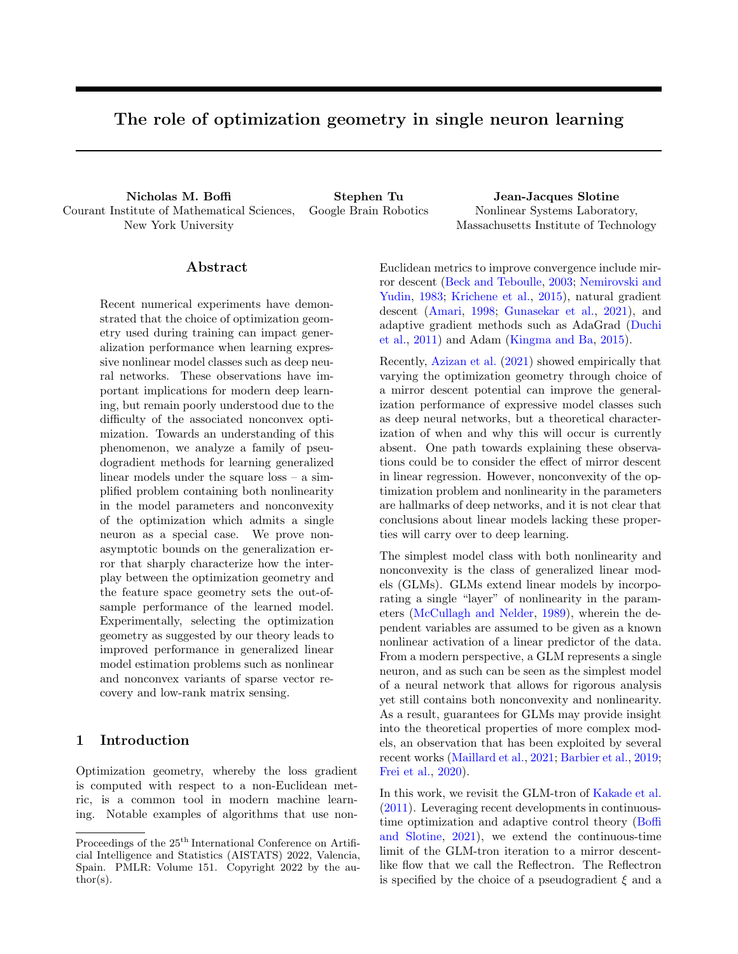- Frei, S., Cao, Y., and Gu, Q. (2020). Agnostic learning of a single neuron with gradient descent. In Neural Information Processing Systems.
- Gentile, C.  $(2003)$ . The robustness of the *p*-norm algorithms. Machine Learning, 53(3):265–299.
- Ghai, U., Hazan, E., and Singer, Y. (2020). Exponentiated gradient meets gradient descent. In 31st International Conference on Algorithmic Learning Theory.
- Goel, S. and Klivans, A. (2019). Learning neural networks with two nonlinear layers in polynomial time. In Conference on Learning Theory.
- Gunasekar, S., Lee, J. D., Soudry, D., and Srebro, N. (2018a). Characterizing implicit bias in terms of optimization geometry. In International Conference on Machine Learning.
- Gunasekar, S., Lee, J. D., Soudry, D., and Srebro, N. (2018b). Implicit bias of gradient descent on linear convolutional networks. In Neural Information Processing Systems.
- Gunasekar, S., Woodworth, B., Bhojanapalli, S., Neyshabur, B., and Srebro, N. (2017). Implicit regularization in matrix factorization. In Neural Information Processing Systems.
- Gunasekar, S., Woodworth, B., and Srebro, N. (2021). Mirrorless mirror descent: A natural derivation of mirror descent. In International Conference on Articial Intelligence and Statistics.
- Han, X. Y., Papyan, V., and Donoho, D. L. (2022). Neural collapse under mse loss: Proximity to and dynamics on the central path. In International Conference on Learning Representations.
- Hastie, T., Montanari, A., Rosset, S., and Tibshirani, R. J. (2019). Surprises in high-dimensional ridgeless least squares interpolation. arXiv:1903.08560.
- Hui, L. and Belkin, M. (2021). Evaluation of neural architectures trained with square loss vs cross-entropy in classification tasks. In International Conference on Learning Representations.
- Ji, Z. and Telgarsky, M. (2020). Polylogarithmic width suffices for gradient descent to achieve arbitrarily small test error with shallow relu networks. In *Inter*national Conference on Learning Representations.
- Kakade, S. M., Kalai, A. T., Kanade, V., and Shamir, O. (2011). Efficient learning of generalized linear and single index models with isotonic regression. In Neural Information Processing Systems.
- Kakade, S. M., Sridharan, K., and Tewari, A. (2009). On the complexity of linear prediction: Risk bounds, margin bounds, and regularization. In Neural Information Processing Systems.
- Kingma, D. P. and Ba, J. L. (2015). Adam: A method for stochastic optimization. In International Conference on Learning Representations.
- Krichene, W., Bayen, A., and Bartlett, P. L. (2015). Accelerated mirror descent in continuous and discrete time. In Neural Information Processing Systems.
- Maillard, A., Arous, G. B., and Biroli, G. (2021). Landscape complexity for the empirical risk of generalized linear models. arxiv:1912.02143.
- McCullagh, P. and Nelder, J. A. (1989). Generalized Linear Models, Second Edition. CRC Press.
- Muthukumar, V., Vodrahalli, K., and Sahai, A. (2019). Harmless interpolation of noisy data in regression. In 2019 IEEE International Symposium on Information Theory (ISIT).
- Nacson, M. S., Lee, J. D., Gunasekar, S., Savarese, P. H. P., Srebro, N., and Soudry, D. (2018). Convergence of gradient descent on separable data. In International Conference on Arti cial Intelligence and Statistics.
- Nemirovski, A. and Yudin, D. (1983). Problem Complexity and Method  $E$  ciency in Optimization. Wiley.
- Nock, R. and Menon, A. K. (2020). Supervised learning: No loss no cry. In International Conference on Machine Learning.
- Rutishauser, U., Slotine, J.-J. E., and Douglas, R. (2015). Computation in dynamically bounded asymmetric systems. PLOS Computational Biology,  $11(1):1-22.$
- Slotine, J.-J. E. and Li, W. (1991). Applied Nonlinear Control. Prentice Hall.
- Soudry, D., Hoffer, E., Nacson, M. S., Gunasekar, S., and Srebro, N. (2018). The implicit bias of gradient descent on separable data. Journal of Machine Learning Research, 19(1):2822–2878.
- Tyukin, I. Y., Prokhorov, D. V., and van Leeuwen, C. (2007). Adaptation and parameter estimation in systems with unstable target dynamics and nonlinear parametrization. IEEE Transactions on Automatic Control, 52(9):1543–1559.
- Woodworth, B., Gunasekar, S., Lee, J. D., Moroshko, E., Savarese, P., Golan, I., Soudry, D., and Srebro, N. (2020). Kernel and rich regimes in overparametrized models. In Conference on Learning Theory.
- Zhang, C., Bengio, S., Hardt, M., Recht, B., and Vinyals, O. (2017). Understanding deep learning requires rethinking generalization. In International Conference on Learning Representations.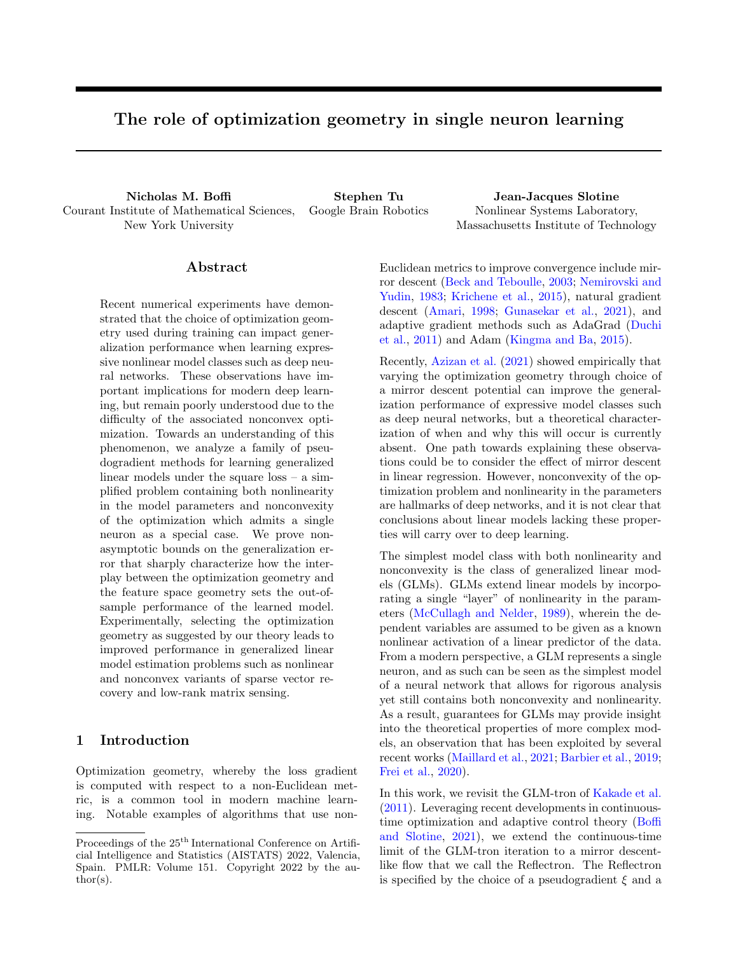# A Details on experimental setup

## A.1 Projections

Euclidean projection onto  $\ell_1$ -ball. For the GLM-tron algorithm, we use the following projection step after every iteration:

$$
\argmin_{\mathbf{x}:k\mathbf{x}k_1} k\mathbf{x} \quad \mathbf{y}k.
$$

The algorithm used to compute this is described in Figure 1 of Duchi et al. (2008).

 $\ell_p$  projection onto  $\ell_p$ -ball. For the p-norm algorithm, we use the following Bregman projection:

$$
\argmin_{\mathbf{x}:k\mathbf{x}k_{\rho}} d_{\rho}(\mathbf{x}, \mathbf{y}).
$$

The solution is **y** for  $k\mathbf{y}k_p$  R and  $\frac{\mathbf{y}}{kyk_p}R$  otherwise. Note that we did not implement the Bregman projection

$$
\argmin_{\mathbf{x}:k\mathbf{x}k_1} d_{\rho}(\mathbf{x}, \mathbf{y}).
$$

since we are not aware of an efficient (nearly linear time in dimension) algorithm for doing so.

**Hypentropy Bregman projection onto**  $\ell_1$ **-ball.** For the hypentropy algorithm, we use the following Bregman projection:

$$
\argmin_{\mathbf{x}:k\mathbf{x}k_1} d \quad (\mathbf{x}, \mathbf{y}).
$$

To implement this projection, we use the following bisection search algorithm communicated to us by Udaya Ghai, which was also used in Ghai et al. (2020). Define the shrinkage function  $s : \mathbb{R}^d : \mathbb{R}^d$  as:

$$
s(\mathbf{x}) = \text{sign}(\mathbf{x}) \max \left\{ \frac{\theta(\sqrt{\mathbf{x}^2 + \beta^2} + j\mathbf{x}j)}{2} - \frac{\sqrt{\mathbf{x}^2 + \beta^2} j\mathbf{x}j}{2\theta}, 0 \right\},\,
$$

where the operations above are all elementwise. One can show that there must exist a  $\theta \geq (0, 1]$  such that:

$$
s \left(\mathbf{y}\right) = \underset{\mathbf{x}: k\mathbf{x}k_1}{\arg \min}\, d \quad \left(\mathbf{x}, \mathbf{y}\right).
$$

From the above considerations, we can use bisection to search for a  $\theta \n\supseteq (0,1]$  such that

$$
\left\| s \left( \mathbf{y} \right) \right\|_1 = R.
$$

#### A.2 Hyperparameter values

In this section, we list the hyperparameters that were gridded over for each figure.

#### Parameters for Figure 1a

| Parameter | Values                  |
|-----------|-------------------------|
|           | f1.0, 0.1, 0.01, 0.001q |
|           |                         |

Parameters for Figure 1b

| Parameter | Values                                      |
|-----------|---------------------------------------------|
|           | $f1.0, 0.5, 0.1, 0.05, 0.01, 0.005, 0.001q$ |
|           | $f1.0, 10^{-1}, 10^{-2}, 10^{-3}, 10^{-4}$  |
|           | f1.1, 1.2, 1.3, 1.4, 1.5g                   |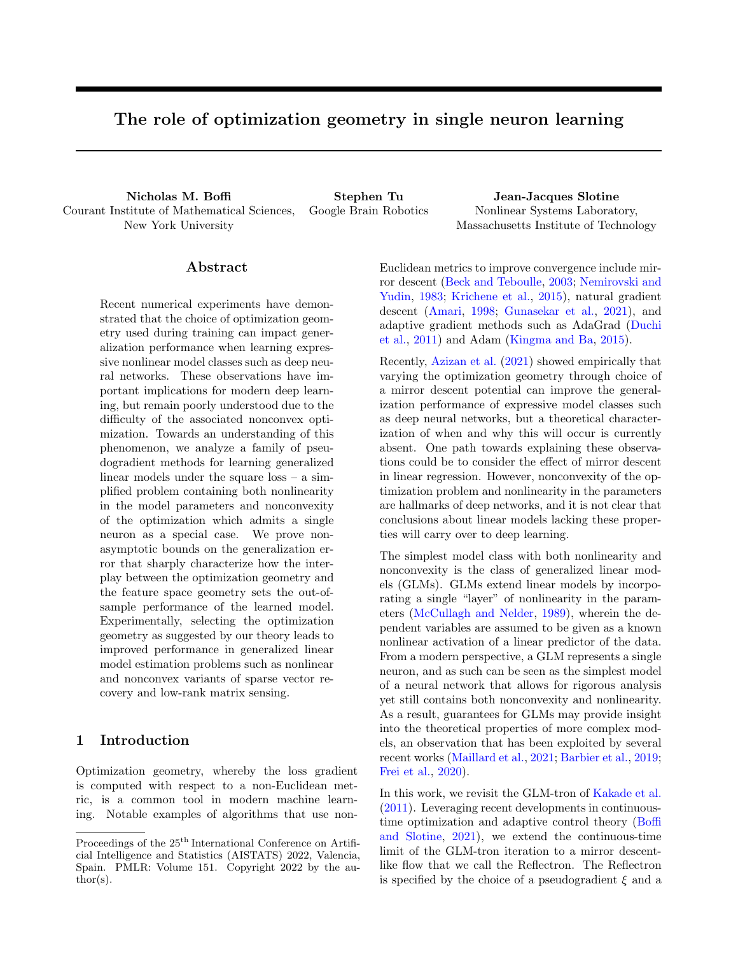Parameters for Figure 1c Same parameters as Figure 1b.

Parameters for Figure 1e

| Parameter | Values                                            |
|-----------|---------------------------------------------------|
|           | $f0.1, 0.05, 0.01, 0.005, 0.001, 0.0005, 0.0001q$ |
|           | $f1.0, 10^{-1}, 10^{-2}, 10^{-3}, 10^{-4}$        |
|           | f1.1, 1.2, 1.3, 1.4, 1.5g                         |

Parameters for Figure 1f Same parameters as Figure 1e.

# A.3 Heuristic argument for keeping  $n = d$  in Figure 1f

Recall that the empirical loss is

$$
\widehat{\varepsilon}(\widehat{\Theta}) = \frac{1}{2nT} \sum_{t=0}^{T-1} \sum_{i=1}^{n} \left\| \mathbf{x}_{t+1}^{i} - \rho \mathbf{x}_{t}^{i} - \sigma(\widehat{\Theta} \mathbf{x}_{t}^{i}) \right\|^{2},
$$

while the pseudogradient  $g(\widehat{\Theta})$  is

$$
g(\widehat{\boldsymbol{\Theta}}) = \frac{1}{nT} \sum_{t=0}^{T-1} \sum_{i=1}^{n} (\sigma(\widehat{\boldsymbol{\Theta}} \mathbf{x}_t^i) \quad \mathbf{x}_{t+1}^i + \rho \mathbf{x}_t^i) (\mathbf{x}_t^i)^{\mathsf{T}}.
$$

A key term in the statistical bound for the Reflectron is the dual norm of the pseudogradient  $g(\hat{\Theta})$ . For the GLM-tron, this is the Frobenius norm  $||g(\hat{\Theta})||_F$ , while for hypentropy this is the operator norm  $||g(\hat{\Theta})||$ . The p-norm case is similiar to hypentropy for the purpose of this discussion, and we omit the details.

Estimating these norms in general is non-trivial due to both the nonlinearity of the activation function and the time-dependence of the trajectory. Instead, we consider a simpler problem based on random matrices to heuristically understand relevant scalings with n and d. In particular, we set  $T = 1$  and consider the d d matrix H defined as:

$$
\mathbf{H} = \frac{1}{n} \sum_{i=1}^{n} \mathbf{x}_i \mathbf{x}_i^{\mathsf{T}} , \ \mathbf{x}_i \quad N(\mathbf{0}, \mathbf{I}).
$$

Above, each of the  $x_i$ 's are independent. Let  $X \nvert Z \rvert^{n-d}$  be a matrix with *i*-th row given by  $x_i$ ; then we have  $\mathbf{H} = \frac{1}{n} \mathbf{X}^{\mathsf{T}} \mathbf{X}$ . We first estimate a bound on  $E kHk_F$  via Jensen's inequality

$$
\begin{split}\n\mathbf{E} \cdot \mathbf{H} \cdot \mathbf{K}_{F} & \sqrt{\mathbf{E} \cdot \mathbf{K} \mathbf{H} \cdot \mathbf{K}_{F}^{2}} = \sqrt{\frac{1}{n^{2}} \operatorname{Tr} \left( \mathbf{E} \sum_{i,j} \mathbf{x}_{i} \mathbf{x}_{i}^{\mathsf{T}} \mathbf{x}_{j} \mathbf{x}_{j}^{\mathsf{T}} \right)} = \sqrt{\frac{1}{n^{2}} \sum_{i,j} \mathbf{E} \cdot \mathbf{K}_{i}, \mathbf{x}_{j} \cdot \mathbf{K}_{F}^{2}} \\
&= \sqrt{\frac{1}{n^{2}} \left( n \mathbf{E} \cdot \mathbf{K} \mathbf{x}_{1} \mathbf{x}^{4} + n(n-1) \mathbf{E} \cdot \mathbf{K}_{1}, \mathbf{x}_{2} \cdot \mathbf{K}_{F}^{2} \right)} \\
&= \sqrt{\frac{1}{n^{2}} \left( n(d^{2} + 2d) + n(n-1)d \right)} \\
&= \sqrt{\frac{d^{2}}{n} + \left( 1 + \frac{1}{n} \right) d} \\
& \frac{\partial}{\partial a} + \frac{d}{\partial \overline{n}} \, .\n\end{split}
$$

On the other hand,  $kXk \leq \frac{D_{\overline{n}}}{n}$ + p d w.h.p. Therefore,

$$
k{\bf H} k = \frac{1}{n}\ k {\bf X} k^2 \lesssim \frac{1}{n}(\frac{\rho_{\overline{n}}}{n} + \frac{\rho_{\overline{d}}}{d})^2 - 1 + \frac{d}{n}\,.
$$

Now consider setting  $n-d$ . Then as  $n \neq 1$ , we have that  $kHk \lesssim 1$  while  $kHk \neq$  tends to 1.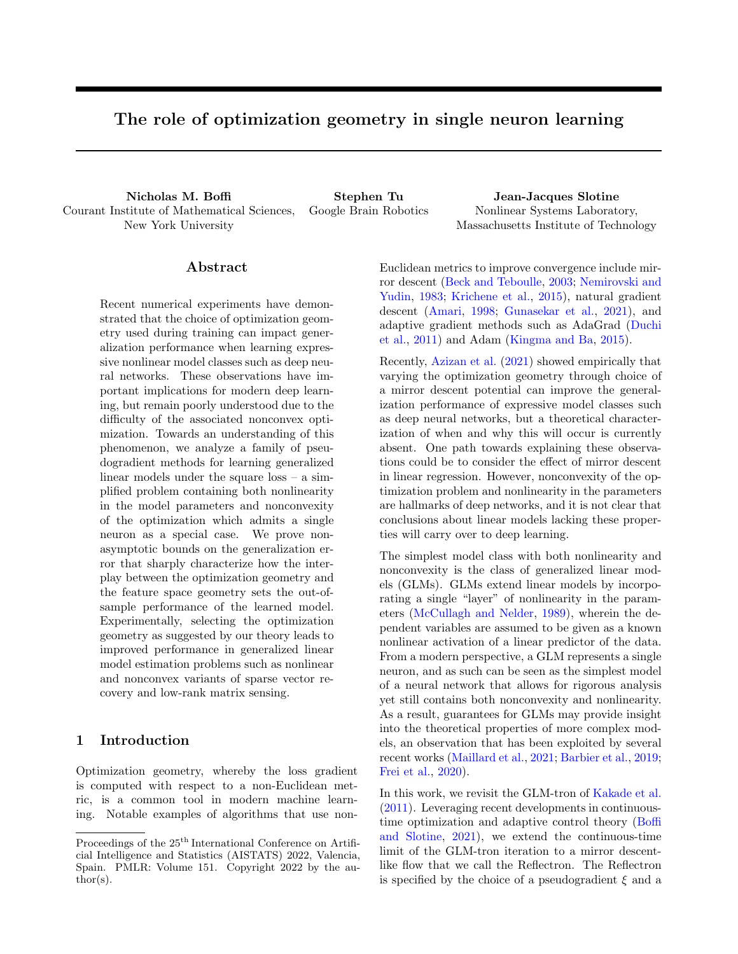## B Preliminary results

In this section, we present some results required for our proofs.

The following theorem gives a bound on the Rademacher complexity of a linear predictor, where the weights in the linear function class admit a bound in terms of a strongly convex potential function.

**Theorem B.1** (Kakade et al. (2009)). Let S be a closed convex set and let  $X = f\mathbf{x}$ :  $k\mathbf{x}k$  Cq. Let  $\psi$ : S! R be  $\sigma$ -strongly convex with respect to k k such that  $\inf_{\mathbf{w}\geq S}\psi(\mathbf{w})=0$ . De ne  $W = f\mathbf{w}\geq S:\psi(\mathbf{w})$   $W^2g$ , and let  $F_W = f\mathbf{x} \nabla \mathbf{h}\mathbf{w}, \mathbf{x}$ i : w 2 Wg Then,

$$
R_n(F_W) \quad CW \sqrt{\frac{2}{\sigma n}}
$$

The following theorem is useful for bounding the Rademacher complexity of the generalized linear models considered in this work, as well as for bounding the generalization error in terms of the Rademacher complexity of a function class.

**Theorem B.2** (Bartlett and Mendelson (2002)). Let  $\phi$ : R ! R be L -Lipschitz, and assume that  $\phi(0) = 0$ . Let F be a class of functions. Then  $R_n(\phi \ F)$  2L  $R_n(F)$ .

The following theorem allows for a bound on the generalization error if bounds on the empirical risk and the Rademacher complexity of the function class are known.

**Theorem B.3** (Bartlett and Mendelson (2002)). Let  $f{\bf x}_i, y_i g_{i-1}^n$  be an i.i.d. sample from a distribution P over X  $\rightarrow$  Y and let  $L : Y^0 \rightarrow Y$  R be an L-Lipschitz and b-bounded loss function in its rst argument. Let  $F = ff$  j f : X !  $Y^0q$  be a class of functions. For any positive integer n 0 and any scalar  $\delta = 0$ ,

$$
\sup_{f \ge F} \left| \frac{1}{n} \sum_{i=1}^n L(f(\mathbf{x}_i), y_i) - \mathbb{E}_{(\mathbf{x}:y)} \left| P\left[L(f(\mathbf{x}), y)\right] \right| - 4LR_n(F) + 2b\sqrt{\frac{2}{n} \log\left(\frac{1}{\delta}\right)} \right|
$$

with probability at least 1  $\delta$  over the draws of the  $f_{\mathbf{x}_i, y_i, y_j}$ .

The following lemma is a technical result from functional analysis which has seen widespread application in adaptive control theory (Slotine and Li, 1991).

**Lemma B.1** (Barbalat's Lemma). Assume that  $x : R \perp R^n$  is such that  $x \geq L_1$ . If  $x(t)$  is uniformly continuous in t, then  $\lim_{t \to \infty} 1$   $\mathbf{x}(t) = 0$ .

Note that a sufficient condition for uniform continuity of  $\mathbf{x}(t)$  is that  $\dot{\mathbf{x}}(t) \supseteq L_1$ .

The following two results will be used to obtain concentration inequalities in arbitrary p norms for empirical averages of random vectors.

**Lemma B.2.** Let f $X_i g_{i=1}^n$  be random variables in a Banach space  $X$  equipped with a norm k k such that k $X_i$ k C. Then for any  $\delta > 0$ , with probability at least  $1 - \delta$ ,

$$
\left\| \left\| \frac{1}{n} \sum_{i=1}^{n} X_i \right\| \quad \mathbb{E} \left[ \left\| \frac{1}{n} \sum_{i=1}^{n} X_i \right\| \right] \right\| \quad \sqrt{\frac{2C^2}{n} \log(2/\delta)}
$$

*Proof.* Observe that by the reverse triangle inequality,  $f(X_1, X_2, ..., X_n) = k \sum_{i=1}^n X_i k$  satisfies the bounded differences inequality with uniform bound 2C. П

 ${\bf Lemma}$   ${\bf B.3.}$  Let  $\mathsf{fX}_i g_{i=1}^n$  be random vectors in Euclidean space  ${\bf X}_i$  2  $X=\mathsf{R}^d$  such that  $k{\bf X}_i k_{p}=C$  and  $E[\mathbf{X}_i] = 0$  with  $p \n\geq [1, 1]$ . Then the following bound holds

$$
\mathbb{E}\left[\left\|\frac{1}{n}\sum_{i=1}^{n} \mathbf{X}_{i}\right\|_{p}\right] \quad \begin{cases} \frac{d^{2-p}\beta_{2}^{1/2-2}C}{\beta_{2}^{2}} & p \ 2\left[1,2\right) \\ \frac{C}{n(q-1)} & p \ 2\left[2,1\right) \\ 4C\sqrt{\frac{\log(q)}{n}} & p = 1 \end{cases}
$$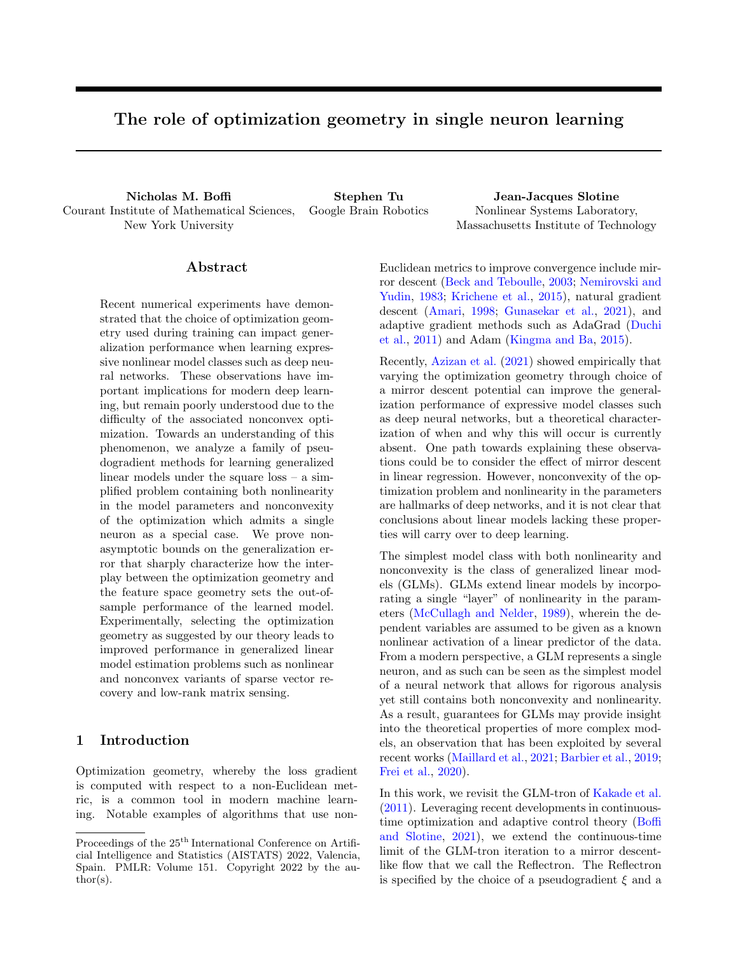*Proof.* Let  $\epsilon_i$  denote a Rademacher random variable. By a standard symmetrization argument,

$$
\mathsf{E}_{\mathbf{X}_i}\left[\left\|\sum_{i=1}^n\left(\mathbf{X}_i-\mathsf{E}_{\mathbf{X}_i}\left[\mathbf{X}_i\right]\right)\right\|_{p}\right] - 2\mathsf{E}_{\mathbf{X}_i} \left[\left\|\sum_{i=1}^n\epsilon_i\mathbf{X}_i\right\|_{p}\right].
$$

Let  $F = f\mathbf{x} \not\in h\mathbf{x}, \mathbf{w} \ni k\mathbf{w} k_q = 1g$  with  $\frac{1}{q} + \frac{1}{p} = 1$ . Observe that by definition of the dual norm

$$
\mathsf{E}_{\mathbf{X}_{i},i}\left[\left\|\sum_{i=1}^{n}\epsilon_{i}\mathbf{X}_{i}\right\|_{p}\right]=nR_{n}(F).
$$

By Theorem B.1, noting that  $k k_q^2$  is  $\frac{1}{2(q-1)}$ -strongly convex with respect to  $k k_q$  for  $q \geq (1, 2]$ , we then have that

$$
\mathsf{E}\left[\left\|\frac{1}{n}\sum_{i=1}^n \mathbf{X}_i\right\|_{\rho}\right] \quad \frac{C}{\sqrt{n(q-1)}},
$$

where  $q \nightharpoonup (1, 2]$  implies that  $p \nightharpoonup (2, 1)$ .

Now consider the case  $p = 1$ . Because each  $kX_i k_j$  C, each component of each  $X_i$  is sub-Gaussian. Hence,

$$
\mathsf{E}\left[\left\|\frac{1}{n}\sum_{i=1}^n \mathbf{X}_i\right\|_{\mathcal{I}}\right] \quad 4C\sqrt{\frac{\log(d)}{n}}.
$$

Last, consider  $p \geq [1, 2]$ . Then we have the elementary bound via equivalence of norms

$$
\mathbb{E}\left[\left\|\frac{1}{n}\sum_{i=1}^n \mathbf{X}_i\right\|_p\right] \quad d^{1-p} \quad 1=2 \mathbb{E}\left[\left\|\frac{1}{n}\sum_{i=1}^n \mathbf{X}_i\right\|_2\right] \quad \frac{d^{2-p}}{p}\frac{1}{n}.
$$

This completes the proof.

To analyze our discrete-time iterations, we require three basic properties of the Bregman divergence.

**Lemma B.4** (Bregman three-point identity). Let  $\psi$  : M! R<sup>p</sup> denote a  $\sigma$ -strongly convex function with respect to some norm  $k k$ . Then for all  $x, y, z \nightharpoonup M$ ,

$$
\text{hr}\,\psi(\mathbf{x})\qquad \qquad \Gamma\,\psi(\mathbf{y}),\mathbf{x}\quad \mathbf{z}\,\mathbf{i} = d\quad (\mathbf{x}\,\,k\,\,\mathbf{y}) + d\quad (\mathbf{z}\,\,k\,\,\mathbf{x})\quad d\quad (\mathbf{z}\,\,k\,\,\mathbf{y}).\tag{11}
$$

**Lemma B.5** (Generalized Pythagorean Theorem). Let  $\psi : M \subseteq \mathbb{R}$  denote a  $\sigma$ -strongly convex function with respect to some norm k k. Let  ${\bf x}_0$  2 M and let  ${\bf x}_- = \Pi_C({\bf x}_0)$  be its projection onto a closed and convex set C. Then for any  $y \nightharpoonup 2$   $C$ ,

$$
d\left(\mathbf{y} \mathbf{k} \mathbf{x}_0\right) \quad d\left(\mathbf{y} \mathbf{k} \mathbf{x}\right) + d\left(\mathbf{x} \mathbf{k} \mathbf{x}_0\right). \tag{12}
$$

 $\Box$ 

**Lemma B.6** (Bregman duality). Let  $\psi : M \subseteq \mathbb{R}$  denote a  $\sigma$ -strongly convex function with respect to some norm k k, and let  $\psi$  denote its Fenchel conjugate. Then  $\psi$  is  $1/\sigma$ -smooth with respect to k k, and moreover

$$
d\left(\mathbf{x} \cdot \mathbf{k} \mathbf{y}\right) = d\left(\Gamma \psi \left(\mathbf{y}\right) \mathbf{k} \Gamma \psi \left(\mathbf{x}\right)\right) \tag{13}
$$

To obtain fast rates in the realizable online learning setting, we require the following martingale Bernstein bound, which has been used in similar analyses prior to this work (Ji and Telgarsky, 2020; Frei et al., 2020).

**Lemma B.7** (Beygelzimer et al. (2011)). Let  $fY_tg_{t-1}^{\gamma}$  be a martingale adapted to the ltration  $fF_tg_{t-1}^{\gamma}$ . Let  $fD_t g_{t=1}^1$  be the corresponding martingale di erence sequence. De ne

$$
V_t = \sum_{k=1}^t \mathbb{E}\left[D_k^2 / F_{k-1}\right],
$$

and assume that  $D_t$  R almost surely. Then for any  $\delta \, \mathcal{Z} \, (0,1)$ , with probability at least  $1 - \delta$ ,

$$
Y_t \quad R \log(1/\delta) + (e \quad 2)V_t/R.
$$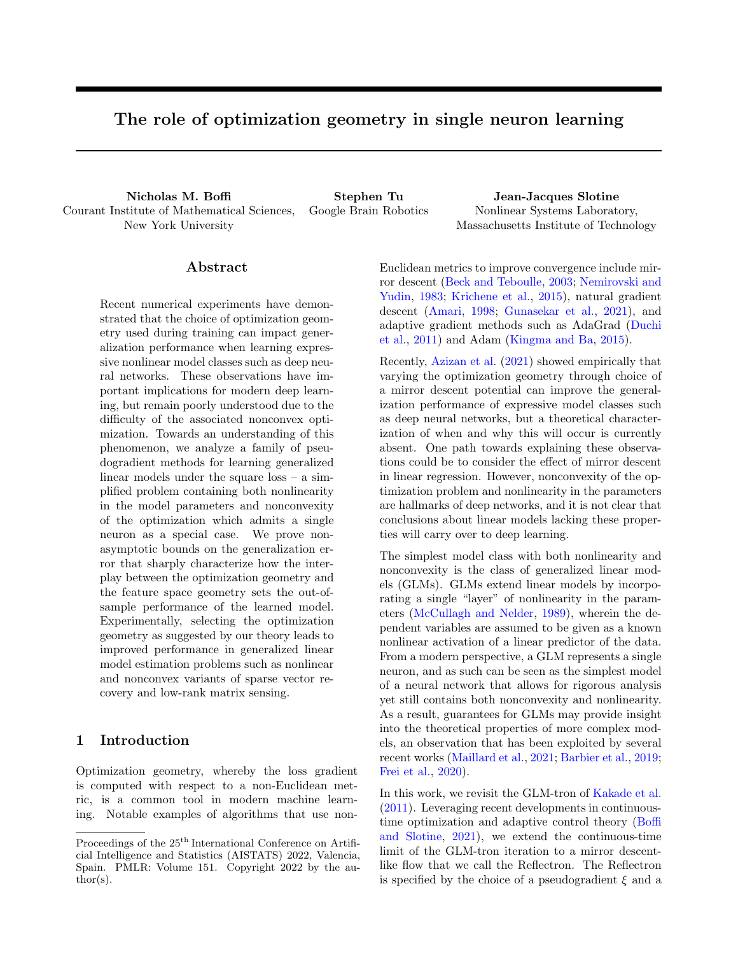# C Omitted proofs

## C.1 Proof of Theorem 4.1

To make progress in the general setting, we require a definition of a modified error function for a parametric hypothesis  $h(\mathbf{x}) = u\left(\left\langle \widehat{\ } , \mathbf{x} \right\rangle\right)$ . The empirical version over the dataset  $\widehat{H}(h)$  is defined analogously.

$$
H(h) = \mathbb{E}\left[\left(u\left(\left\langle \widehat{\phantom{a}}, \mathbf{x} \right\rangle\right) \quad u\left(\hbar\right|, \mathbf{x}\hbar\right)\right]^2 \xi\left(\widehat{\phantom{a}}, \mathbf{x}\right)\right]
$$

Intuitively, under Assumption 4.1, we can relate H to  $\varepsilon$ . The following lemma makes this rigorous, and is adapted from Frei et al. (2020). The proof is a trivial modification of the proof given in their work.

 ${\bf Lemma~C.1.}$  Let  $\xi$  satisfy Assumption 4.1. Let  $h$  denote a parametric hypothesis of the form  $h({\bf x})=u\left(\left\langle \,.\, , {\bf x} \right\rangle\right)$  . Then if  $\|\hat{\ }$  <sup>a</sup> and <sup>k</sup>x<sup>k</sup> <sup>b</sup>, we have the bound <sup>ε</sup>b(h) <sup>H</sup>b(h)/γ where <sup>γ</sup> is a xed constant dened in Assumption 4.1.

We now begin the proof of Theorem 4.1.

*Proof.* By the Bregman three-point identity (11), with  $z = x = b_{t+1}$ , and  $y = b_t$ ,

$$
d \left( \|\hat{r}_{t+1}\right) = d \left( \|\hat{r}_{t}\right) d \left( \hat{r}_{t+1} \|\hat{r}_{t}\right) + \left\langle r \psi(\hat{r}_{t+1}) r \psi(\hat{r}_{t}), \hat{r}_{t+1} \right\rangle,
$$
  
\n
$$
= d \left( \|\hat{r}_{t}\right) d \left( \hat{r}_{t+1} \|\hat{r}_{t}\right) \left\langle \frac{\lambda}{n} \sum_{i=1}^{n} \left( u\left(\langle \mathbf{x}_{i}, \hat{r}_{i}\rangle\right) y_{i}\right) \xi(\hat{r}_{t}, \mathbf{x}_{i}) \mathbf{x}_{i}, \hat{r}_{t+1} \right\rangle,
$$
  
\n
$$
= d \left( \|\hat{r}_{t}\right) d \left( \hat{r}_{t+1} \|\hat{r}_{t}\right) \left\langle \frac{\lambda}{n} \sum_{i=1}^{n} \left( u\left(\langle \mathbf{x}_{i}, \hat{r}_{i}\rangle\right) y_{i}\right) \xi(\hat{r}_{t}, \mathbf{x}_{i}) \mathbf{x}_{i}, \hat{r}_{t} \right\rangle
$$
  
\n
$$
\left\langle \frac{\lambda}{n} \sum_{i=1}^{n} \left( u\left(\langle \mathbf{x}_{i}, \hat{r}_{i}\rangle\right) y_{i}\right) \xi(\hat{r}_{t}, \mathbf{x}_{i}) \mathbf{x}_{i}, \hat{r}_{t+1} \right\rangle.
$$

After grouping the second and final terms in the above expression as in the proof of Theorem 4.1, the iteration becomes

$$
d\left(\left\|\uparrow\right|_{t+1}\right)=d\left(\left\|\uparrow\right|_{t}\right)+d\left(\uparrow\right\|\uparrow_{t+1}\right)+\frac{\lambda}{n}\left\langle\sum_{i=1}^{n}\left(u\left(\left\langle\mathbf{x}_{i},\uparrow\right\rangle\right)\mid y_{i}\right)\xi\left(\uparrow_{t},\mathbf{x}_{i}\right)\mathbf{x}_{i},\left(\uparrow\right|_{t}\right).
$$

By the generalized Pythagorean Theorem (12),

$$
d \quad \left( \quad \left\| \uparrow_{t+1} \right) \quad d \quad \left( \quad \left\| \uparrow_{t} \right) + d \quad \left( \uparrow_{t} \right\| \uparrow_{t+1} \right) + \frac{\lambda}{n} \left\langle \sum_{i=1}^{n} \left( u \left( \left\langle \mathbf{x}_{i}, \uparrow_{t} \right\rangle \right) \quad y_{i} \right) \xi \left( \uparrow_{t}, \mathbf{x}_{i} \right) \mathbf{x}_{i}, \qquad \uparrow_{t} \right\rangle.
$$
 (14)

.

By duality (13), we may replace  $d \begin{pmatrix} c \\ t \end{pmatrix}$  $\Big\|\uparrow_{t+1}\Big)$  by d  $\Big(\uparrow\psi\Big)$  $\begin{bmatrix} \uparrow \\ t+1 \end{bmatrix}$   $\begin{bmatrix} \uparrow \psi \\ \downarrow \end{bmatrix}$   $\begin{bmatrix} \uparrow \\ t \end{bmatrix}$ 

$$
d \quad \left( \quad \left\| \uparrow_{t+1} \right) \quad d \quad \left( \quad \left\| \uparrow_t \right) + d \quad \left( \ulcorner \psi \left( \uparrow_{t+1} \right) \right) \right\| \ulcorner \psi \left( \uparrow_t \right) \right) + \frac{\lambda}{n} \left\langle \sum_{i=1}^n \left( u \left( \left\langle \mathbf{x}_i, \uparrow_t \right\rangle \right) \, y_i \right) \xi \left( \uparrow_t, \mathbf{x}_i \right) \mathbf{x}_i, \qquad \uparrow_t \right\rangle
$$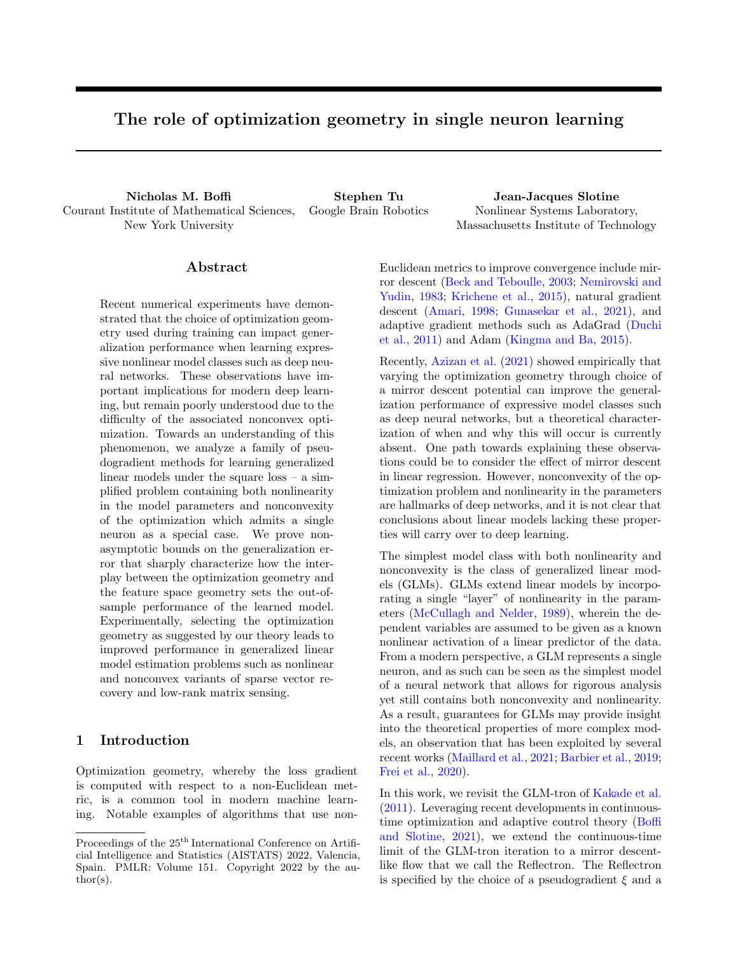Because  $\psi$  is  $\sigma$ -strongly convex with respect to k k,  $\psi$  is <sup>1</sup>-smooth with respect to k k. Thus,

$$
d \left( \parallel \hat{r}_{t+1} \right) d \left( \parallel \hat{r}_{t} \right) + \frac{1}{2\sigma} \left\| r \psi \left( \hat{r}_{t+1} \right) r \psi \left( \hat{r}_{t} \right) \right\|^{2} + \frac{\lambda}{n} \left\langle \sum_{i=1}^{n} \left( u \left( \left\langle \mathbf{x}_{i}, \hat{r}_{t} \right\rangle \right) y_{i} \right) \xi \left( \hat{r}_{t}, \mathbf{x}_{i} \right) \mathbf{x}_{i}, \hat{r}_{t} \right), = d \left( \parallel \hat{r}_{t} \right) + \frac{\lambda^{2}}{2\sigma} \left\| \frac{1}{n} \sum_{i=1}^{n} \left( u \left( \left\langle \mathbf{x}_{i}, \hat{r}_{t} \right\rangle \right) y_{i} \right) \xi \left( \hat{r}_{t}, \mathbf{x}_{i} \right) \mathbf{x}_{i} \right\|^{2} + \frac{\lambda}{n} \left\langle \sum_{i=1}^{n} \left( u \left( \left\langle \mathbf{x}_{i}, \hat{r}_{t} \right\rangle \right) y_{i} \right) \xi \left( \hat{r}_{t}, \mathbf{x}_{i} \right) \mathbf{x}_{i}, \hat{r}_{t} \right\rangle.
$$
(15)

Above, we applied <sup>1</sup>-smoothness and then used (7) to express the increment in  $\Gamma \psi$ . The second term in (15) can be bounded as

$$
\left\| \frac{1}{n} \sum_{i=1}^{n} \left( u\left( \left\langle \mathbf{x}_{i}, \hat{\boldsymbol{\cdot}}_{t} \right\rangle \right) - y_{i} \right) \xi\left( \hat{\boldsymbol{\cdot}}_{t}, \mathbf{x}_{i} \right) \mathbf{x}_{i} \right\|^{2} \right\} \n2 \left\| \frac{1}{n} \sum_{i=1}^{n} \left( u\left( \left\langle \mathbf{x}_{i}, \hat{\boldsymbol{\cdot}}_{t} \right\rangle \right) - u\left( \hbar \mathbf{x}_{i}, -i \right) \right) \xi\left( \hat{\boldsymbol{\cdot}}_{t}, \mathbf{x}_{i} \right) \mathbf{x}_{i} \right\|^{2} + 2 \left\| \frac{1}{n} \sum_{i=1}^{n} \left( u\left( \hbar \mathbf{x}_{i}, -i \right) - y_{i} \right) \xi\left( \hat{\boldsymbol{\cdot}}_{t}, \mathbf{x}_{i} \right) \mathbf{x}_{i} \right\|^{2}.
$$

By Jensen's inequality, and using that  $\xi\begin{pmatrix} \hat{i} & \hat{j} & \hat{k} \\ \hat{k} & \hat{k} & \hat{k} \end{pmatrix}$   $B$ ,

$$
\left\| \frac{1}{n} \sum_{i=1}^{n} \left( u\left( \left\langle \mathbf{x}_{i}, \hat{\mathbf{u}}_{i} \right\rangle \right) - u\left( \hbar \mathbf{x}_{i}, \hat{\mathbf{u}}_{i} \right) \right) \xi \left( \hat{\mathbf{u}}_{t}, \mathbf{x}_{i} \right) \mathbf{x}_{i} \right\|^{2} - \frac{1}{n} \sum_{i=1}^{n} \left\| \left( u\left( \left\langle \hat{\mathbf{x}}_{i}, \mathbf{x}_{i} \right\rangle \right) - u\left( \hbar, \mathbf{x}_{i} \right) \right) \xi \left( \hat{\mathbf{u}}_{t}, \mathbf{x}_{i} \right) \mathbf{x}_{i} \right\|^{2},
$$

$$
= \frac{1}{n} \sum_{i=1}^{n} \left( u\left( \left\langle \hat{\mathbf{x}}_{i}, \mathbf{x}_{i} \right\rangle \right) - u\left( \hbar, \mathbf{x}_{i} \right) \right)^{2} \xi \left( \hat{\mathbf{u}}_{t}, \mathbf{x}_{i} \right)^{2} \mathbf{x}_{i} \kappa^{2},
$$

$$
C^{2} B \hat{H}(h_{t}).
$$

By assumption,  $k_{\overline{n}}^1 \sum_{i=1}^n (y_i - u(h\mathbf{x}_i, i)) \xi\begin{pmatrix} \hat{i}_t & \hat{j}_t \\ \hat{k}_t & \hat{k}_t \end{pmatrix} \mathbf{x}_i k$   $\eta$ . Combining this with the above, we find that

$$
\left\| \frac{1}{n} \sum_{i=1}^n \left( u\left( \left\langle \mathbf{x}_i, \hat{\boldsymbol{\cdot}}_t \right\rangle \right) - y_i \right) \xi \left( \hat{\boldsymbol{\cdot}}_t, \mathbf{x}_i \right) \mathbf{x}_i \right\|^2 - 2 \left( C^2 B \widehat{H}(h_t) + \eta^2 \right).
$$

By an induction argument identical to that used in the proof of Theorem 4.1, the iteration of the Bregman divergence between the Bayes-optimal parameters and the parameters of our hypothesis becomes

$$
d \ \left( \|\uparrow_{t+1} \right) \ d \ \left( \|\uparrow_t \right) \ \lambda \widehat{H}(h_t) \left( \frac{1}{L} \ \frac{\lambda BC^2}{\sigma} \right) + \eta \lambda \left( \frac{\lambda \eta}{\sigma} + \sqrt{\frac{2\psi(\cdot)}{\sigma}} \right)
$$

.

Assume that  $\eta = \sqrt{\frac{2}{2}}$ . For  $\lambda = \frac{2}{2BC^2L}$ , we have

$$
d\left(\parallel\uparrow_{t+1}\right) d\left(\parallel\uparrow_t\right) \frac{\lambda}{2L} \widehat{H}(h_t) + \eta \lambda \sqrt{\frac{2\psi(\parallel)}{\sigma}} \left(\frac{2BC^2L+1}{2BC^2L}\right).
$$

Thus, at each iteration we either have the decrease condition

$$
d \ \left( \begin{array}{c} \parallel \uparrow_{t+1} \end{array} \right) \quad d \ \left( \begin{array}{c} \parallel \uparrow_t \end{array} \right) \qquad \eta \lambda \sqrt{\frac{2\psi(\cdot)}{\sigma}} \left( \frac{2BC^2L+1}{2BC^2L} \right)
$$

or the error bound

$$
\widehat{H}(h_t) < 4L\eta \sqrt{\frac{2\psi(\ )}{\sigma}} \left( \frac{2BC^2L+1}{2BC^2L} \right).
$$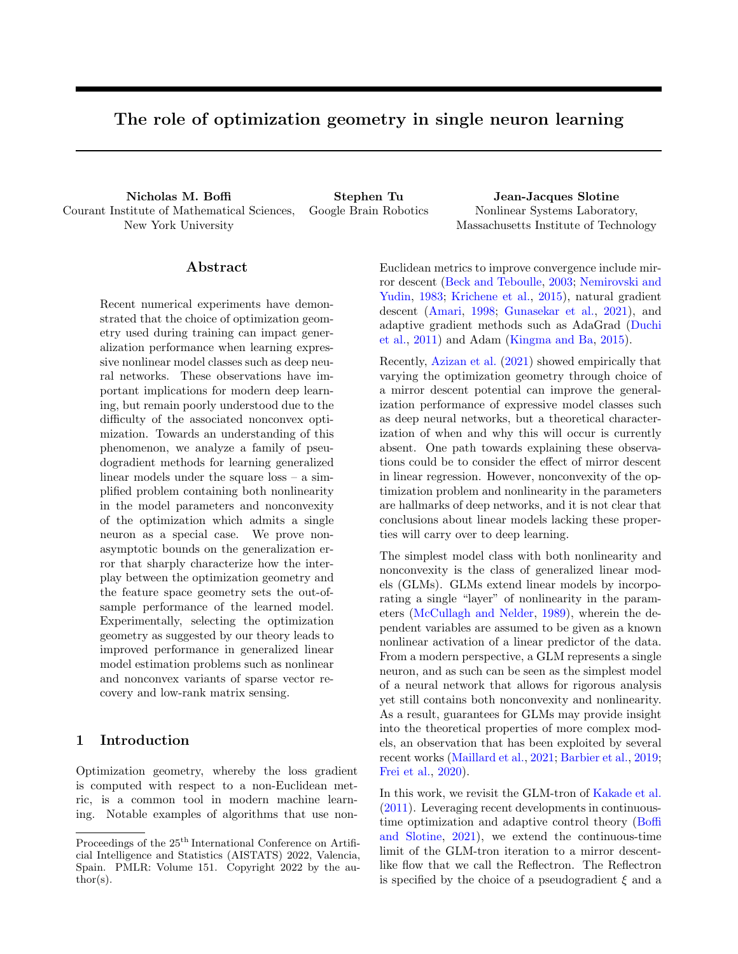In the former case there can be at most

$$
t_f = \frac{d \left( \left\| \widehat{\phantom{a}}(0) \right) \right)}{\eta \lambda \sqrt{\frac{2 \left( \widehat{\phantom{a}} \right)}{2 \log(2 \log(2 \log(2)))}}} \frac{1}{\lambda} \sqrt{\frac{\sigma \psi(\phantom{a})}{2 \eta^2}}
$$

iterations before  $\hat{H}(h_t)$   $4L\eta\sqrt{\frac{2\zeta\zeta}{2}}\left(\frac{2BC^2L+1}{2BC^2L}\right)$ . Furthermore, note that  $\left\|\hat{f}(t)\right\|$  $\sqrt{\frac{2(1)}{2+1}} + k k \quad (1 +$  $W\sqrt{\frac{2\left(1\right)}{2\pi}}$ . Then by Lemma C.1,  $\hat{\varepsilon}(h_t) = \frac{4L}{\sqrt{2\left(1\right)}} \left(\frac{2BC^2L+1}{2BC^2L}\right)$  where  $\gamma$  corresponds to  $a = (1+W)\sqrt{\frac{2\left(1\right)}{2\pi}}$ and  $b = C$  in Lemma C.1. The conclusion of the theorem now follows by application of Theorem B.3 to transfer the bound on  $\widehat{\varepsilon}(h_t)$  to  $\varepsilon(h_t)$ .  $\Box$ 

#### C.2 Proof of Corollary 4.1

*Proof.* Note that 
$$
F = \left\{ \mathbf{x} \notin h\mathbf{w}, \mathbf{x} \in h\mathbf{w} \setminus \mathbf{w} \mid W\left(1 + \frac{1}{q-1}\right) \right\}.
$$
 Hence by Theorem B.1,  $R_n(F)$   
 $\frac{p\cdot W}{n(q-1)}\left(1 + \frac{1}{q-1}\right)$ . By Lemmas B.2 and B.3,  $\eta = C\left(\sqrt{\frac{2\log(4-\varepsilon)}{n}} + \frac{1}{n(q-1)}\right)$ .

#### C.3 Proof of Corollary 4.2

Proof. Observe that we have the inclusion

$$
\mathcal{F} = \left\{ \mathbf{x} \not\mathcal{F} \mid \hbar \mathbf{w}, \mathbf{x} i : k \mathbf{w} k_1 \quad W \left( 1 + \sqrt{3 \log(d)} \right) \right\} = \left\{ \mathbf{x} \not\mathcal{F} \mid \hbar \mathbf{w}, \mathbf{x} i : k \mathbf{w} k_q \quad W \left( 1 + \sqrt{3 \log(d)} \right) \right\}.
$$

Hence  $R_n(F)$   $\frac{CW(1 + \frac{p}{\sqrt{3\log n}})}{n^{1-2}}$  by Theorem B.1. By Lemmas B.2 and B.3,

$$
\eta = C \left( \sqrt{\frac{2 \log(4/\delta)}{n}} + 4 \sqrt{\frac{\log(d)}{n}} \right)
$$

# C.4 Proof of Corollary 4.3

.

*Proof.* Note that  $F = f\mathbf{x} \not\in \mathbb{N}$   $\forall$   $\mathbf{w}, \mathbf{x} \in \mathbb{N}$  ( $\mathbf{w}$ )  $\log(d)g$  and  $R_n = C\sqrt{\frac{2\log d}{n}}$ . By Lemmas B.2 and B.3,  $\eta =$  $C\left(\sqrt{\frac{2\log(4-)}{n}}+4\sqrt{\frac{\log(d)}{n}}\right)$  .  $\Box$ n

#### C.5 Proof of Lemma 4.1

Proof. From (15), we have a bound on the iteration for the Bregman divergence between the interpolating parameters and the current parameter estimates,

$$
d \quad \left( \quad \left\| \uparrow_{t+1} \right) \quad d \quad \left( \quad \left\| \uparrow_t \right) + \frac{\lambda^2}{2\sigma} \right\| \frac{1}{n} \sum_{i=1}^n \left( u\left( \left\langle \mathbf{x}_i, \uparrow_t \right\rangle \right) \quad y_i \right) \mathbf{x}_i \xi \left( \uparrow, \mathbf{x}_i \right) \right\|_2^2
$$

$$
+ \frac{\lambda}{n} \left\langle \sum_{i=1}^n \left( u\left( \left\langle \mathbf{x}_i, \uparrow_t \right\rangle \right) \quad y_i \right) \xi \left( \uparrow, \mathbf{x}_i \right) \mathbf{x}_i, \qquad \uparrow_t \right\rangle.
$$

Under the realizability assumption of the lemma, we may bound the second term above as

$$
\frac{\lambda^2}{2\sigma} \left\| \frac{1}{n} \sum_{i=1}^n \left( u\left( \left\langle \mathbf{x}_i, \hat{\boldsymbol{\cdot}}_t \right\rangle \right) - y_i \right) \xi \left( \hat{\boldsymbol{\cdot}}, \mathbf{x}_i \right) \mathbf{x}_i \right\|_2^2 - \frac{\lambda^2 C^2 B}{2\sigma} \widehat{H}(h_t).
$$

We may similarly bound the final term, exploiting monotonicity and Lipschitz continuity of  $u( )$ , as

$$
\frac{\lambda}{n}\left\langle \sum_{i=1}^n \left(u\left(\left\langle \mathbf{x}_i, \hat{\boldsymbol{\zeta}}_t \right\rangle\right) \quad y_i\right) \xi\left(\hat{\boldsymbol{\zeta}}, \mathbf{x}_i\right) \mathbf{x}_i, \qquad \hat{\boldsymbol{\zeta}}_t\right\rangle = \frac{\lambda}{L} \widehat{H}(h_t).
$$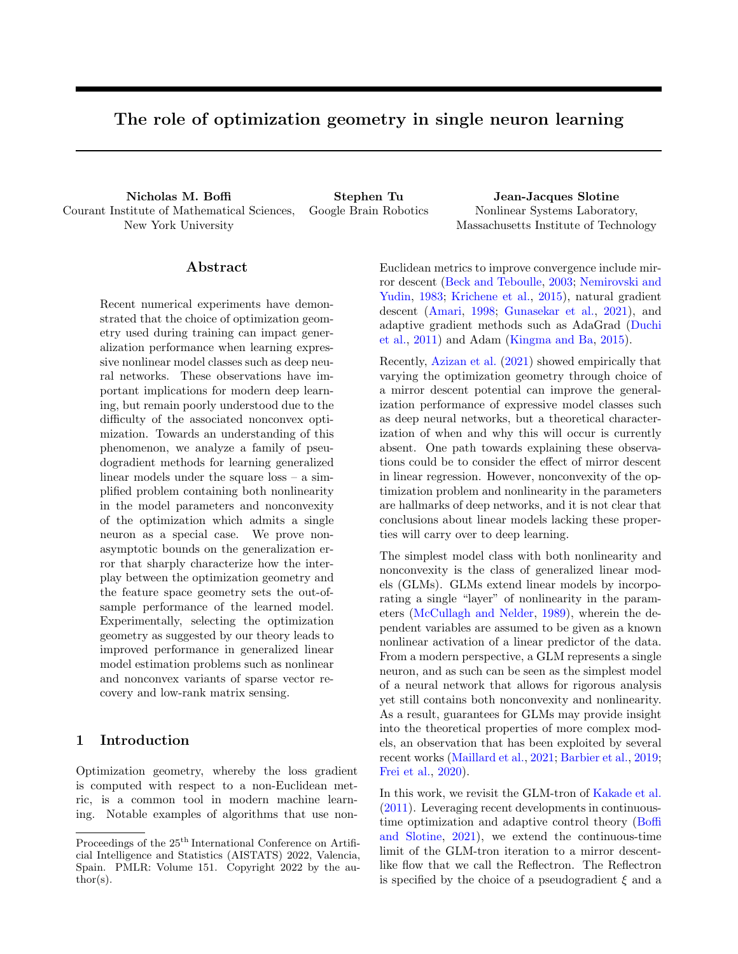Putting these together, we have the refined bound on the iteration

$$
d\left(\parallel\uparrow_{t+1}\right) d\left(\parallel\uparrow_t\right) + \lambda \left(\frac{\lambda C^2 B}{2\sigma} \frac{1}{L}\right) \widehat{H}(h_t).
$$

Let  $0 < \alpha < 1$ . For  $\lambda = \frac{2(1-\lambda)}{C^2BL}$ ,

$$
d\left(\bigcap_{t+1}\hat{f}_{t+1}\right) d\left(\bigcap_{t}\hat{f}_{t}\right) \frac{\lambda \alpha}{L} \widehat{H}(h_t).
$$

Note that this shows  $d \begin{pmatrix} 1 \\ 1 \end{pmatrix} d \begin{pmatrix} 1 \\ 1 \end{pmatrix}$  for all t, so that  $\begin{pmatrix} 1 \\ 1 \end{pmatrix}$ |  $k k + \sqrt{\frac{2 (k)}{2}}$ . Summing both sides of the above inequality from  $t = 1$  to T reveals that

$$
\sum_{t=1}^T \widehat{H}(h_t) = \frac{L}{\lambda \alpha} \left( d + k_1 \right) + d + \left( \left\| \widehat{I}_{\tau+1} \right) \right) + \frac{L}{\lambda \alpha} d + k_1.
$$

Because T was arbitrary and the upper bound is independent of  $T$ ,  $\sum_{t=1}^{7} \widehat{H}(h_t)$  exists and hence  $\widehat{H}(h_t)$  ! 0 as  $t$  ! 1. Furthermore,

$$
\min_{t^0 \geq [1;T]} \left\{ \widehat{H}(h_{t^0}) \right\} T = \sum_{t=1}^T \min_{t^0 \geq [1;T]} \left\{ \widehat{H}(h_{t^0}) \right\} \quad \sum_{t=1}^T \widehat{H}(h_t) \quad \frac{L}{\lambda \alpha} d \ (\ k \ n),
$$

so that  $\min_{t'' \geq [1, T]} \left\{ \widehat{H}(h_{t''}) \right\}$   $\frac{\text{Ld } (\ell + 1)}{T}$ . By taking  $\alpha \neq 0$ , we obtain the requirement  $\lambda < \frac{2}{C^2BL}$ . To conclude the proof, apply Lemma C.1 with  $a = \sqrt{\frac{2(1)}{2}} + k$  k and  $b = C$ .

## C.6 Proof of Theorem 4.2

The proof discretizes the proof of Theorem 3.2, and is similar to the proof of implicit regularization for mirror descent due to Azizan et al. (2019).

*Proof.* Let  $\overline{\phantom{a}}$  2 A be arbitrary. From (14),

$$
d \quad \left( \begin{array}{c} \begin{pmatrix} - \\ \end{pmatrix} \begin{pmatrix} - \\ t+1 \end{pmatrix} \right) d \quad \left( \begin{pmatrix} - \\ \end{pmatrix} \begin{pmatrix} - \\ t \end{pmatrix} + d \quad \left( \begin{pmatrix} - \\ t \end{pmatrix} \begin{pmatrix} - \\ t+1 \end{pmatrix} + \frac{\lambda}{n} \sum_{i=1}^{n} \left( u \left( \left\langle \mathbf{x}_{i}, \hat{t} \right\rangle \right) y_{i} \right) \xi \left( \hat{t}, \mathbf{x}_{i} \right) \left\langle \mathbf{x}_{i}, \hat{t} \right\rangle - \hat{t} \right),
$$
  

$$
= d \quad \left( \begin{pmatrix} - \\ \end{pmatrix} \begin{pmatrix} - \\ t \end{pmatrix} + d \quad \left( \begin{pmatrix} - \\ t \end{pmatrix} \begin{pmatrix} - \\ t+1 \end{pmatrix} + d \quad \left( \begin{pmatrix} - \\ t \end{pmatrix} \begin{pmatrix} - \\ t+1 \end{pmatrix} \right) \right) y_{i} \right) \xi \left( \hat{t}, \mathbf{x}_{i} \right) \left( u^{-1} \left( y_{i} \right) \quad \left\langle \mathbf{x}_{i}, \hat{t} \right\rangle \right),
$$

where we have used that  $2A$  and applied invertibility of  $u($ ). Summing both sides from  $t = 1$  to  $1$ ,

$$
d \quad \left(\begin{array}{c} \mid \\ \mid \\ \mid \\ \end{array}\right) \quad d \quad \left(\begin{array}{c} \mid \\ \mid \\ \mid \\ \end{array}\right) + \sum_{t=1}^{7} d \quad \left(\begin{array}{c} \mid \\ \mid \\ \mid \\ \end{array}\right) + \sum_{t=1}^{7} d \quad \left(\begin{array}{c} \mid \\ \mid \\ \mid \\ \end{array}\right) + \sum_{t=1}^{7} d \quad \left(\begin{array}{c} \mid \\ \mid \\ \mid \\ \end{array}\right) + \sum_{t=1}^{7} d \quad \left(\begin{array}{c} \mid \\ \mid \\ \mid \\ \end{array}\right) + \sum_{t=1}^{7} d \quad \left(\begin{array}{c} \mid \\ \mid \\ \mid \\ \end{array}\right) + \sum_{t=1}^{7} d \quad \left(\begin{array}{c} \mid \\ \mid \\ \mid \\ \end{array}\right) + \sum_{t=1}^{7} d \quad \left(\begin{array}{c} \mid \\ \mid \\ \mid \\ \end{array}\right) + \sum_{t=1}^{7} d \quad \left(\begin{array}{c} \mid \\ \mid \\ \mid \\ \end{array}\right) + \sum_{t=1}^{7} d \quad \left(\begin{array}{c} \mid \\ \mid \\ \mid \\ \end{array}\right) + \sum_{t=1}^{7} d \quad \left(\begin{array}{c} \mid \\ \mid \\ \mid \\ \end{array}\right) + \sum_{t=1}^{7} d \quad \left(\begin{array}{c} \mid \\ \mid \\ \mid \\ \end{array}\right) + \sum_{t=1}^{7} d \quad \left(\begin{array}{c} \mid \\ \mid \\ \mid \\ \end{array}\right) + \sum_{t=1}^{7} d \quad \left(\begin{array}{c} \mid \\ \mid \\ \mid \\ \end{array}\right) + \sum_{t=1}^{7} d \quad \left(\begin{array}{c} \mid \\ \mid \\ \mid \\ \end{array}\right) + \sum_{t=1}^{7} d \quad \left(\begin{array}{c} \mid \\ \mid \\ \mid \\ \end{array}\right) + \sum_{t=1}^{7} d \quad \left(\begin{array}{c} \mid \\ \mid \\ \mid \\ \end{array}\right) + \sum_{t=1}^{7} d \quad \left(\begin{array}{c} \mid \\ \mid \\ \mid \\ \end{array}\right) + \sum_{t=1}^{7} d \quad \left(\begin{array}{c} \mid \\ \mid \\ \mid \\ \end{array}\right
$$

The above relation is true for any  $\overline{\phantom{a}}$  2 A. Furthermore, the only dependence of the right-hand side on  $\overline{\phantom{a}}$  is through the first Bregman divergence. Hence the arg min of the two Bregman divergences involving must be equal, which shows that  $\hat{i}$  = arg min-<sub>2A</sub> d  $\begin{pmatrix} - \\ 1 \end{pmatrix}$ . Choosing  $\hat{i}$  = arg min<sub>w2C\M</sub>  $\psi(\mathbf{w})$  completes the proof.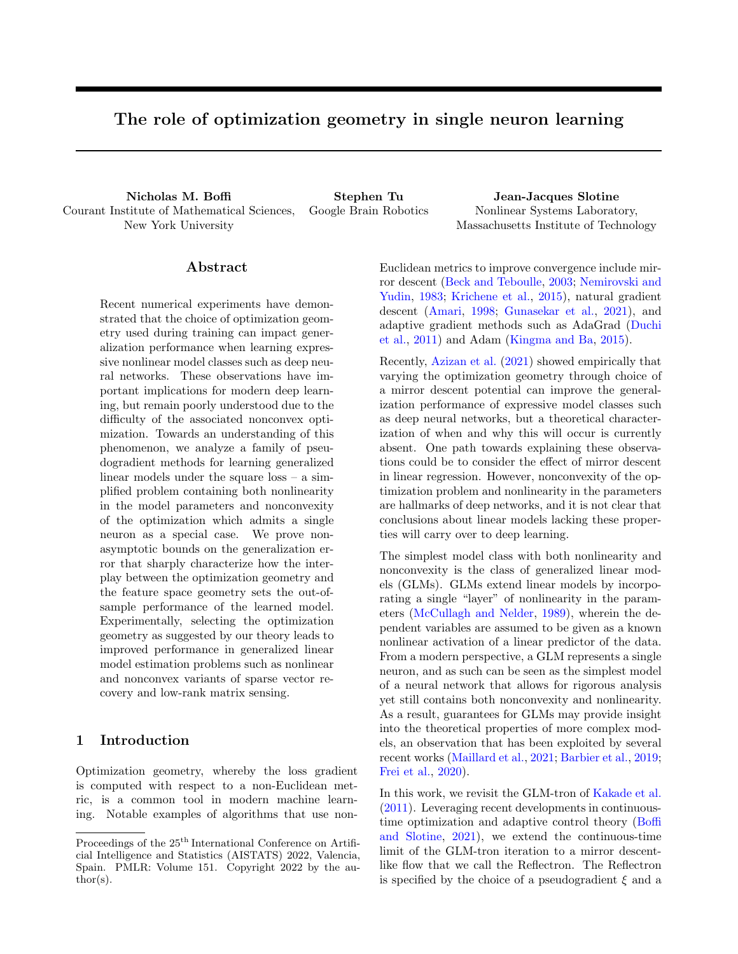# C.7 Proof of Theorem 5.1

*Proof.* Let  $\xi_t = \xi \binom{\hat{\ }_t, \mathbf{x}_t}$ . From (15) adapted to the stochastic optimization setting, we have the bound

$$
d \left( \|\widehat{r}_{t+1} \right) d \left( \|\widehat{r}_{t} \right) + \frac{\lambda^2}{2\sigma} \left\| \left( u \left( \left\langle \mathbf{x}_t, \widehat{r}_t \right\rangle \right) y_t \right) \mathbf{x}_t \xi_t \right\|^2 + \lambda \left\langle \left( u \left( \left\langle \mathbf{x}_t, \widehat{r}_t \right\rangle \right) y_t \right) \mathbf{x}_t \xi_t, \widehat{r}_t \right\rangle \right).
$$

Note that we can write

$$
\left(u\left(\left\langle \mathbf{x}_t, \hat{t}_t\right\rangle\right) - y_t\right)^2 = \left(u\left(\left\langle \mathbf{x}_t, \hat{t}_t\right\rangle\right) - u\left(\hbar\mathbf{x}_t, i\right)\right)^2 + \left(u\left(\hbar\mathbf{x}_t, i\right) - y_t\right)^2 + 2\left(u\left(\left\langle \mathbf{x}_t, \hat{t}_t\right\rangle\right) - u\left(\hbar\mathbf{x}_t, i\right)\right)\left(u\left(\hbar\mathbf{x}_t, i\right) - y_t\right).
$$

Using that  $u$  is nondecreasing and  $L$ -Lipschitz,

$$
\left\langle \left(u\left(\left\langle \mathbf{x}_t, \hat{t}\right\rangle\right) y_t\right) \mathbf{x}_t \xi_t, \hat{t}_t \right\rangle = \frac{1}{L} \left(u\left(\left\langle \mathbf{x}_t, \hat{t}\right\rangle\right) u\left(\hbar \mathbf{x}_t, t\right)\right)^2 \xi_t + (u\left(\hbar \mathbf{x}_t, t\right) y_t) \xi_t \left\langle \mathbf{x}_t, \hat{t}_t \right\rangle.
$$

Putting these together, we conclude the bound,

$$
d \quad \left( \quad \left\| \uparrow_{t+1} \right) \quad d \quad \left( \quad \left\| \uparrow_t \right) \quad \lambda \left( \frac{1}{L} \quad \frac{\lambda C^2 B}{2\sigma} \right) \left( u \left( \left\langle \mathbf{x}_t, \uparrow_t \right\rangle \right) \quad u \left( \hbar \mathbf{x}_t, \ h \right) \right)^2 \xi_t
$$

$$
+ \lambda \xi_t \left( u \left( \hbar \mathbf{x}_t, \ h \right) \quad y_t \right) \left( \left\langle \mathbf{x}_t, \ h \right\rangle + \frac{\lambda C^2 B}{\sigma} \left( u \left( \left\langle \mathbf{x}_t, \hat{\ h} \right\rangle \right) \quad u \left( \hbar \mathbf{x}_t, \ h \right) \right) \right)
$$

$$
+ \frac{\lambda^2 C^2 B^2}{2\sigma} \left( u \left( \hbar \mathbf{x}_t, \ h \right) \quad y_t \right)^2.
$$

Summing both sides from  $t = 1$  to  $T$ ,

$$
d \quad (\|\widehat{\mathbf{r}}_{t+1}) \quad d \quad (\|\widehat{\mathbf{r}}_{t}) \quad \lambda \left(\frac{1}{L} \quad \frac{\lambda C^2 B}{2\sigma}\right) \sum_{t=1}^T \left(u\left(\left\langle \mathbf{x}_t, \widehat{\mathbf{r}}_t \right\rangle\right) \quad u\left(\hbar \mathbf{x}_t, \beta\right)\right)^2 \xi_t
$$

$$
+ \lambda \sum_{t=1}^T \xi_t \left(u\left(\hbar \mathbf{x}_t, \beta\right) \quad y_t\right) \left(\left\langle \mathbf{x}_t, \widehat{\mathbf{r}}_t \right\rangle + \frac{\lambda C^2 B}{\sigma} \left(u\left(\left\langle \mathbf{x}_t, \widehat{\mathbf{r}}_t \right\rangle\right) \quad u\left(\hbar \mathbf{x}_t, \beta\right)\right)\right)
$$

$$
+ \frac{\lambda^2 C^2 B^2}{2\sigma} \sum_{t=1}^T \left(u\left(\hbar \mathbf{x}_t, \beta\right) \quad y_t\right)^2.
$$

Define the filtration  $fF_t = \sigma(\mathbf{x}_1, y_1, \mathbf{x}_2, y_2, \dots, \mathbf{x}_t, y_t, \mathbf{x}_{t+1}) g_{t-1}^{\dagger}$ , and note that

$$
D_t^{(1)} = \xi_t (u \left( h\mathbf{x}_t, i\right) - y_t) \left\langle \mathbf{x}_t, \hat{i} \right\rangle,
$$
  

$$
D_t^{(2)} = \xi_t (u \left( h\mathbf{x}_t, i\right) - y_t) \left( u \left( \left\langle \mathbf{x}_t, \hat{i} \right\rangle \right) - u \left( h\mathbf{x}_t, i\right) \right),
$$

are martingale difference sequences adapted to  $fF_t g$ . Furthermore, note that  $jD_t^{(1)}j$   $\quad CBR$  and  $jD_t^{(2)}$  $LCBR$ almost surely where  $R = \text{Diam}(C)$ . Hence, by an Azuma-Hoeffding bound, with probability at least  $1 \delta/3$ ,

$$
\sum_{t=1}^{T} D_t^{(1)} \sqrt{CBRT \log(6/\delta)},
$$
  

$$
\sum_{t=1}^{T} D_t^{(2)} \sqrt{LCBRT \log(6/\delta)}.
$$

The variance term is trivially bounded almost surely,

$$
\sum_{t=1}^{T} (u(h\mathbf{x}_t, i) - y_t)^2 \quad T.
$$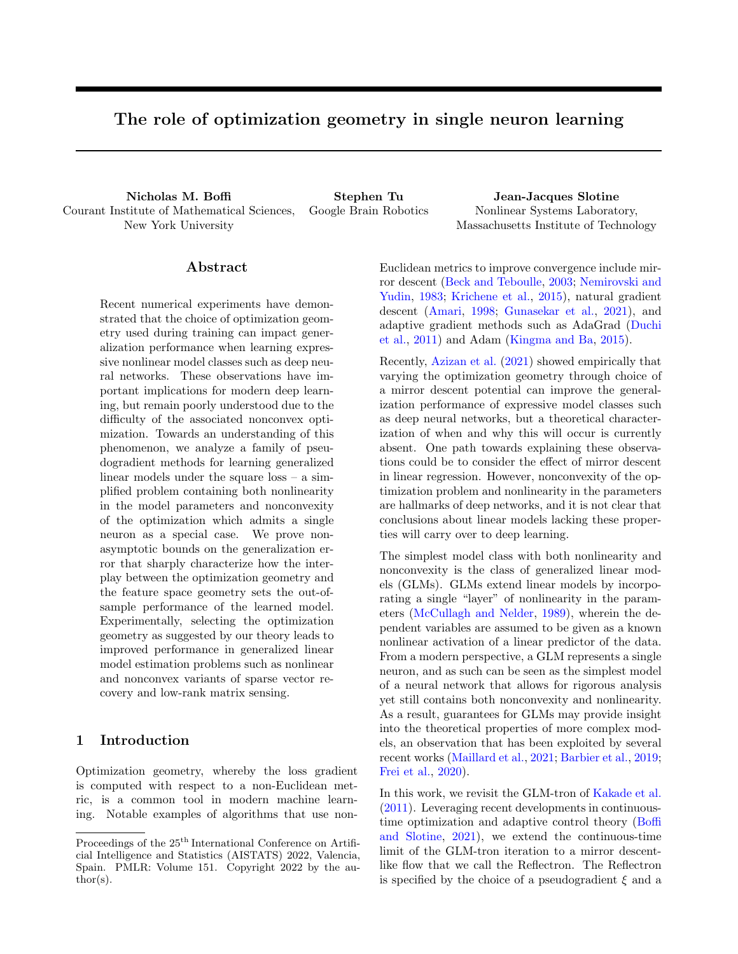Putting these bounds together and rearranging, we conclude that with probability at least  $1 \quad 2\delta/3$ .

$$
\lambda \left( \frac{1}{L} - \frac{\lambda C^2 B}{2\sigma} \right) \sum_{t=1}^T \left( u \left( \left\langle \mathbf{x}_t, \hat{\boldsymbol{\cdot}}_t \right\rangle \right) - u \left( \hbar \mathbf{x}_t, \hat{\boldsymbol{\cdot}}_t \right) \right)^2 \xi_t - d \left( \|\hat{\boldsymbol{\cdot}}_1\right) - d \left( \|\hat{\boldsymbol{\cdot}}_1\right) + \lambda \sqrt{CBRT \log(6/\delta)} + \frac{\lambda^2 C^2}{\sigma} \sqrt{LCBRT \log(6/\delta)} + \frac{\lambda^2 C^2 B^2 T}{2\sigma}.
$$

Let  $\beta$  2 (0, 1) and take  $\lambda = \min\left\{\frac{2(1-\lambda)}{C^2BL}, \frac{\beta^1}{\overline{f}}\right\}$ . Define  $\beta^{\ell} = 1 - \frac{C^2 \beta B}{2 \overline{f}}$  $\frac{C^2 \cancel{B}}{2}$ , and define  $\bar{\beta} = \max f\beta, \beta^{\theta}g$ . Then  $\frac{1}{L}$   $\frac{C^2B}{2} = \frac{1}{L} > 0$ . Defining  $h_t = \left(u\left(\left\langle \mathbf{x}_t, \hat{\boldsymbol{\zeta}}_t \right\rangle\right) - u\left(\hbar \mathbf{x}_t, \hat{\boldsymbol{\zeta}}_t\right)\right)^2 \xi_t$ , we find

$$
\sum_{t=1}^{T} h_t \quad \frac{L}{\overline{\beta}} \max \left\{ \frac{\rho_{\overline{T}}}{T}, \frac{C^2 BL}{2\sigma(1-\beta)} \right\} d \quad \left( \quad \left\| \uparrow \right| \right) + \frac{L}{\overline{\beta}} \sqrt{CBRT \log(6/\delta)}
$$

$$
+ \frac{C^2 L}{\sigma \overline{\beta}} \sqrt{LCBR \log(6/\delta)} + \frac{C^2 L^2 \overline{T} B^2}{2\sigma \overline{\beta}}.
$$
(16)

By Assumption 4.1, noting that  $k\mathbf{x}_t k$  C and  $\|\hat{t}_t\|$  $\frac{1}{2} \sum_{t=1}^{T} h_t$ . We now want to transfer this bound to a bound on  $\varepsilon(h_t)$  via Lemma B.7. Define  $D_t^{(3)} = \varepsilon(h_t) - \varepsilon_t$ ,  $\begin{array}{ll} \parallel & R + k & k \text{, there exists a fixed } \gamma > 0 \text{ such that } \sum_{t=1}^{T} \varepsilon_t \end{array}$ and note that this is a martingale difference sequence adapted to the filtration  $fF_t = \sigma(\mathbf{x}_1, y_1, \mathbf{x}_2, y_2, \dots, \mathbf{x}_t, y_t)g$ .  $D_t^{(3)}$  satisfies the following inequalities almost surely,

$$
D_t^{(3)} \quad \frac{1}{2} L^2 C^2 R,
$$
  

$$
E\left[\left(D_t^{(3)}\right)^2 / F_{t-1}\right] \quad \frac{1}{2} L^2 C^2 R \varepsilon(h_t).
$$

Thus, by Lemma B.7, with probability at least  $1 - \delta/3$ ,

$$
\sum_{\substack{n=1}}^T \varepsilon(h) \quad \frac{L^2 C^2 R}{2(3 - e)} \log(3/\delta) + \frac{1}{3 - e} \sum_{\substack{n=1}}^T \varepsilon.
$$

Using (16), we then have with probability at least  $1-\delta$ ,

$$
\sum_{\alpha=1}^{T} \varepsilon(h) = \frac{L^2 C^2 R}{2(3 - e)} \log(3/\delta) + \frac{L}{\bar{\beta}\gamma(3 - e)} \max\left\{\frac{\mathcal{P}_{\overline{T}}}{2\sigma(1 - \beta)}\right\} d \quad \left(\text{where } \hat{\gamma}\right) = \frac{L}{\bar{\beta}\gamma(3 - e)} \sqrt{CBRT \log(6/\delta)} + \frac{C^2 L}{\sigma \bar{\beta}\gamma(3 - e)} \sqrt{LCBR \log(6/\delta)} + \frac{C^2 L^2 \bar{T} B^2}{2\sigma \bar{\beta}\gamma(3 - e)}.
$$

 $\Box$ 

Noting that  $\min_{t \leq T} \varepsilon(h) = \frac{1}{T} \sum_{i=1}^{T} \varepsilon(h)$  completes the proof.

## C.8 Proof of Theorem 5.2

*Proof.* Again from  $(15)$  adapted to the stochastic optimization setting, we have the bound

$$
d \quad (\|\widehat{ }_{t+1}) \quad d \quad (\|\widehat{ }_{t}\big) + \frac{\lambda^{2}}{2\sigma} \left\| \left( u\left( \left\langle \mathbf{x}_{t}, \widehat{ }_{t} \right\rangle \right) \right) u\left( \hbar \mathbf{x}_{t}, i\right) \right) \xi_{t} \mathbf{x}_{t} \right\|^{2} + \lambda \left\langle \left( u\left( \left\langle \mathbf{x}_{t}, \widehat{ }_{t} \right\rangle \right) \right) u\left( \hbar \mathbf{x}_{t}, i\right) \right) \xi_{t} \mathbf{x}_{t}, \qquad \widehat{ }_{t} \right\rangle,
$$
  

$$
d \quad (\|\widehat{ }_{t}\big) + \frac{\lambda^{2} C^{2} B}{2\sigma} \left( u\left( \left\langle \mathbf{x}_{t}, \widehat{ }_{t} \right\rangle \right) \right) u\left( \hbar \mathbf{x}_{t}, i\right) \right)^{2} \xi_{t} = d \quad (\|\widehat{ }_{t}\big) + \frac{\lambda}{L} \left( 1 - \frac{\lambda L C^{2} B}{2\sigma} \right) \left( u\left( \left\langle \mathbf{x}_{t}, \widehat{ }_{t} \right\rangle \right) \right) u\left( \hbar \mathbf{x}_{t}, i\right) \right)^{2} \xi_{t},
$$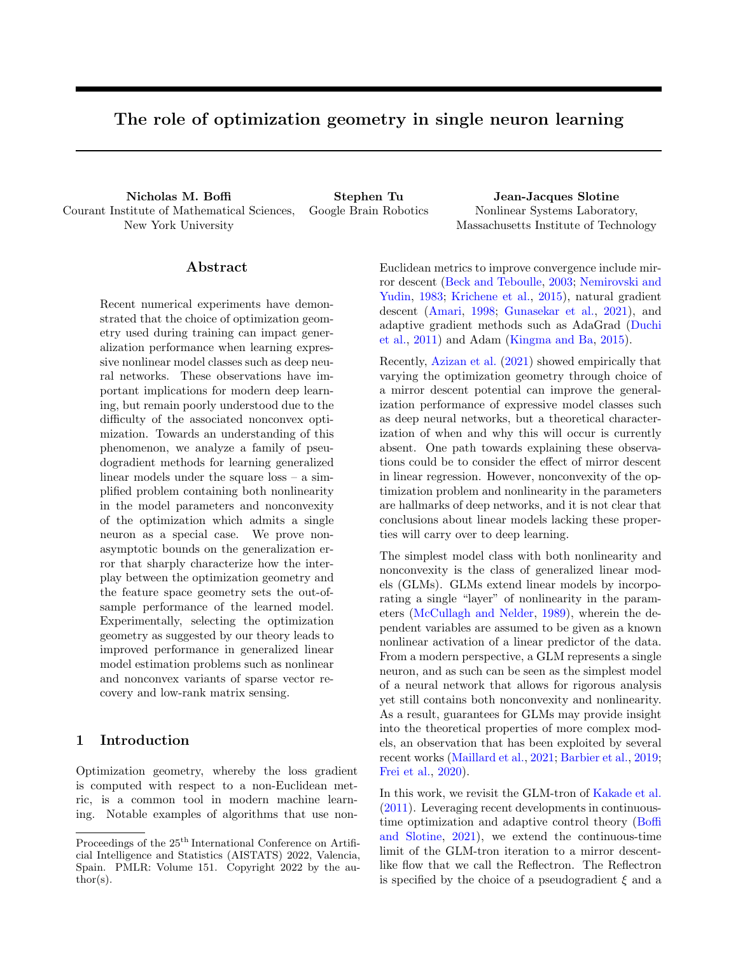Let  $0 < \beta < 1$ . Taking  $\lambda = \frac{(1 - \lambda)^2}{LC^2 B}$ ,

$$
d\left(\bigwedge_{t+1}\hat{c}_{t+1}\right) = d\left(\bigwedge_{t}\hat{c}_{t}\right) = \frac{2\sigma(1-\beta)\beta}{L^{2}C^{2}B}\left(u\left(\left\langle \mathbf{x}_{t}, \hat{c}_{t}\right\rangle\right) - u\left(\hbar\mathbf{x}_{t}, \hat{c}_{t}\right)\right)^{2}\xi_{t},
$$

so that  $d \begin{pmatrix} \begin{pmatrix} 1 \end{pmatrix} \hat{t} + 1 \end{pmatrix}$   $d \begin{pmatrix} 1 \end{pmatrix} \begin{pmatrix} 1 \end{pmatrix}$   $\cdots$   $d \begin{pmatrix} 1 \end{pmatrix} \begin{pmatrix} 1 \end{pmatrix}$ . Let W be such that  $k \neq W\sqrt{\frac{2(1)}{2}}$ . Then  $\begin{array}{cc} d & \begin{pmatrix} 1 & 1 \end{pmatrix} & \hat{\psi} \\ \begin{pmatrix} 1 & 1 \end{pmatrix} & \hat{\psi} \end{array}$  $\left(1 + W\right)\sqrt{\frac{2\left(1\right)}{2}}$  by  $\sigma$ -strong convexity of  $\psi$  with respect to k k. Summing both sides from  $1$  to  $T-1$  leads to the inequality

$$
d\left(\bigwedge_{i=1}^{n} \hat{f} \right) d\left(\bigwedge_{i=1}^{n} \hat{f}\right) \frac{2\sigma(1-\beta)\beta}{L^2C^2B} \sum_{t=1}^{T-1} \left(u\left(\left\langle \mathbf{x}_t, \hat{f} \right\rangle\right) u\left(\beta \mathbf{x}_t, \hat{f}\right)\right)^2 \xi_t.
$$

Rearranging, using positivity of the Bregman divergence, and defining  $h_t = \left(u\left(\left\langle \mathbf{x}_t, \hat{\cdot}_t \right\rangle\right) - u\left(\hbar \mathbf{x}_t, i\right)\right)^2 \xi_t$ , we conclude that

$$
\sum_{t=1}^{T-1} h_t \quad \frac{L^2 C^2 B}{2\sigma (1-\beta)\beta} d \quad (\|\widehat{\ }) .
$$

Applying Assumption 4.1 shows that there exists a  $\gamma > 0$  such that

$$
\sum_{t=1}^{T-1} \varepsilon_t \quad \frac{L^2 C^2 B}{2\sigma (1-\beta)\beta\gamma} d \quad (\|\widehat{\phantom{a}}_1\widehat{\phantom{a}}_1\). \tag{17}
$$

We would now like to transfer the bound (17) to a bound on  $\varepsilon(h_t)$ . Define  $D_t = \varepsilon(h_t) - \varepsilon_t$ , and note that  $fD_t g_{t=1}^1$  is a martingale difference sequence adapted to the filtration  $fF_t = \sigma(\mathbf{x}_1, \mathbf{x}_2, \dots, \mathbf{x}_t) g_{t=1}^1$ . Note that, almost surely,

$$
D_t \quad \varepsilon(h_t) = \frac{1}{2} \mathbb{E}_{\mathbf{x}} \quad D \left[ \left( u \left( \left\langle \hat{\boldsymbol{\zeta}}_t, \mathbf{x} \right\rangle \right) \quad u \left( \hat{\boldsymbol{\zeta}}_t, \mathbf{x} \right) \right)^2 \right]
$$

$$
\frac{1}{2} L^2 C^2 \hat{\boldsymbol{\zeta}}_t \qquad \hat{\boldsymbol{\zeta}}^2 \qquad \frac{L^2 C^2}{\sigma} d \quad \left( \begin{array}{c} \| \hat{\boldsymbol{\zeta}}_t \|_2 \end{array} \right) \qquad \frac{L^2 C^2}{\sigma} d \quad \left( \begin{array}{c} \| \hat{\boldsymbol{\zeta}}_t \|_2 \end{array} \right)
$$

where we have applied  $\sigma$ -strong convexity of  $\psi$  with respect to k k to upper bound  $\hat{k}$  k  $k^2$  by the corresponding Bregman divergence. Now, consider the following bound on the conditional variance

$$
\begin{aligned} \mathbb{E}\left[D_t^2 / F_{t-1}\right] &= \mathbb{E}\left[\varepsilon(h_t)^2 - 2\varepsilon(h_t)\varepsilon_t + \varepsilon_t^2 / F_{t-1}\right], \\ &= \varepsilon(h_t)^2 - 2\varepsilon(h_t)^2 + \mathbb{E}\left[\varepsilon_t^2 / F_{t-1}\right], \\ &= \mathbb{E}\left[\varepsilon_t^2 / F_{t-1}\right], \\ &= \frac{1}{4} \mathbb{E}\left[\left(u\left(\left\langle\mathbf{x}_t, \widehat{\cdot}_t\right\rangle\right) - u\left(h\mathbf{x}_t, \widehat{\cdot} t\right)\right)^4 / F_{t-1}\right], \\ &= \frac{L^2 C^2 d}{\sigma} \left(\left\|\widehat{\cdot}_1\right)_{\varepsilon(h_t).} \end{aligned}
$$

Hence by Lemma B.7, with probability at least  $1 - \delta$ ,

$$
\sum_{i=1}^{t} \left(\varepsilon(h) - \varepsilon\right) = \frac{L^2 C^2}{\sigma} d \left(\left|\left|\left|\right| \right| \right) \log(1/\delta) + (e - 2) \sum_{i=1}^{t} \varepsilon(h) \right).
$$

Rearranging terms,

$$
(3 \quad e) \sum_{i=1}^{t} \varepsilon(h) \quad \frac{L^2 C^2}{\sigma} d \ \left( \|\uparrow_1\right) \log(1/\delta) + \sum_{i=1}^{t} \varepsilon \ .
$$